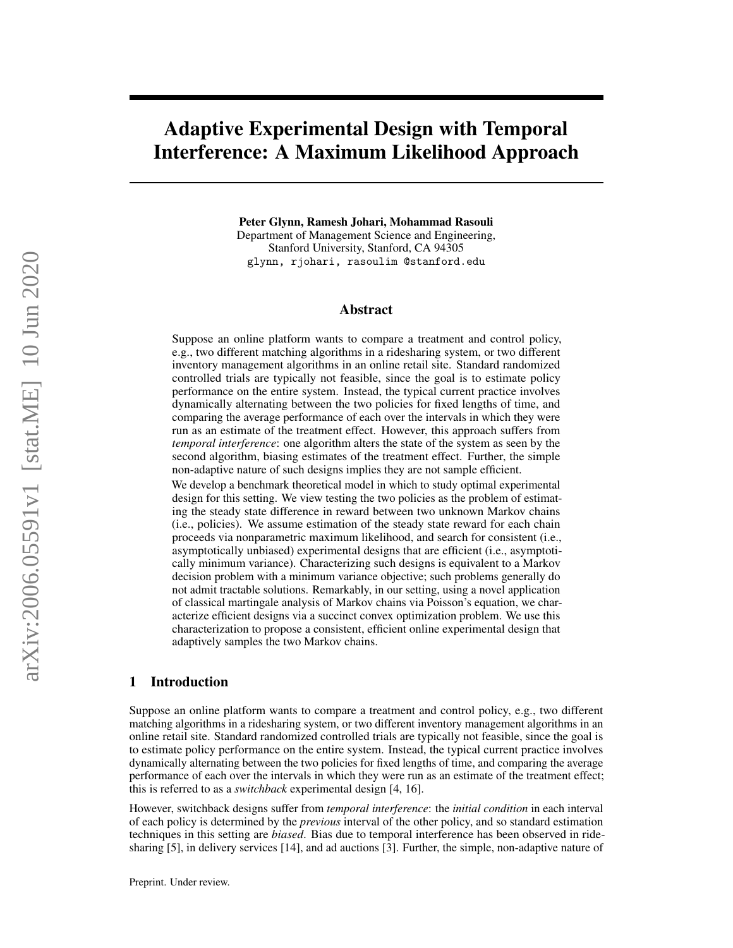# Adaptive Experimental Design with Temporal Interference: A Maximum Likelihood Approach

Peter Glynn, Ramesh Johari, Mohammad Rasouli Department of Management Science and Engineering, Stanford University, Stanford, CA 94305 glynn, rjohari, rasoulim @stanford.edu

## Abstract

Suppose an online platform wants to compare a treatment and control policy, e.g., two different matching algorithms in a ridesharing system, or two different inventory management algorithms in an online retail site. Standard randomized controlled trials are typically not feasible, since the goal is to estimate policy performance on the entire system. Instead, the typical current practice involves dynamically alternating between the two policies for fixed lengths of time, and comparing the average performance of each over the intervals in which they were run as an estimate of the treatment effect. However, this approach suffers from *temporal interference*: one algorithm alters the state of the system as seen by the second algorithm, biasing estimates of the treatment effect. Further, the simple non-adaptive nature of such designs implies they are not sample efficient.

We develop a benchmark theoretical model in which to study optimal experimental design for this setting. We view testing the two policies as the problem of estimating the steady state difference in reward between two unknown Markov chains (i.e., policies). We assume estimation of the steady state reward for each chain proceeds via nonparametric maximum likelihood, and search for consistent (i.e., asymptotically unbiased) experimental designs that are efficient (i.e., asymptotically minimum variance). Characterizing such designs is equivalent to a Markov decision problem with a minimum variance objective; such problems generally do not admit tractable solutions. Remarkably, in our setting, using a novel application of classical martingale analysis of Markov chains via Poisson's equation, we characterize efficient designs via a succinct convex optimization problem. We use this characterization to propose a consistent, efficient online experimental design that adaptively samples the two Markov chains.

#### 1 Introduction

Suppose an online platform wants to compare a treatment and control policy, e.g., two different matching algorithms in a ridesharing system, or two different inventory management algorithms in an online retail site. Standard randomized controlled trials are typically not feasible, since the goal is to estimate policy performance on the entire system. Instead, the typical current practice involves dynamically alternating between the two policies for fixed lengths of time, and comparing the average performance of each over the intervals in which they were run as an estimate of the treatment effect; this is referred to as a *switchback* experimental design [\[4,](#page-8-0) [16\]](#page-8-1).

However, switchback designs suffer from *temporal interference*: the *initial condition* in each interval of each policy is determined by the *previous* interval of the other policy, and so standard estimation techniques in this setting are *biased*. Bias due to temporal interference has been observed in ridesharing [\[5\]](#page-8-2), in delivery services [\[14\]](#page-8-3), and ad auctions [\[3\]](#page-8-4). Further, the simple, non-adaptive nature of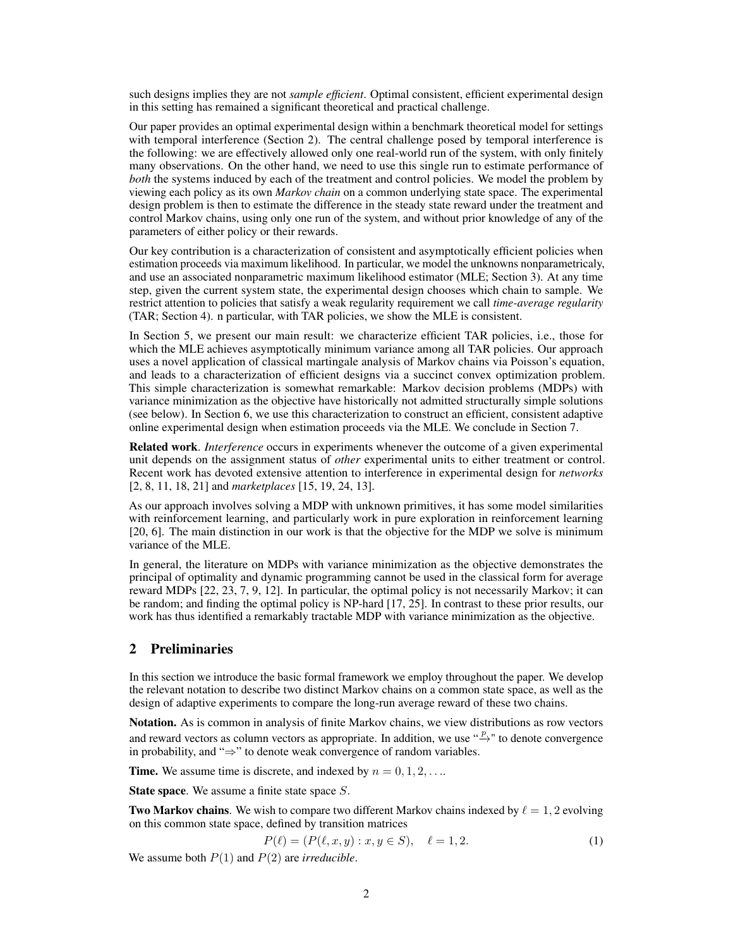such designs implies they are not *sample efficient*. Optimal consistent, efficient experimental design in this setting has remained a significant theoretical and practical challenge.

Our paper provides an optimal experimental design within a benchmark theoretical model for settings with temporal interference (Section [2\)](#page-1-0). The central challenge posed by temporal interference is the following: we are effectively allowed only one real-world run of the system, with only finitely many observations. On the other hand, we need to use this single run to estimate performance of *both* the systems induced by each of the treatment and control policies. We model the problem by viewing each policy as its own *Markov chain* on a common underlying state space. The experimental design problem is then to estimate the difference in the steady state reward under the treatment and control Markov chains, using only one run of the system, and without prior knowledge of any of the parameters of either policy or their rewards.

Our key contribution is a characterization of consistent and asymptotically efficient policies when estimation proceeds via maximum likelihood. In particular, we model the unknowns nonparametricaly, and use an associated nonparametric maximum likelihood estimator (MLE; Section [3\)](#page-3-0). At any time step, given the current system state, the experimental design chooses which chain to sample. We restrict attention to policies that satisfy a weak regularity requirement we call *time-average regularity* (TAR; Section [4\)](#page-3-1). n particular, with TAR policies, we show the MLE is consistent.

In Section [5,](#page-5-0) we present our main result: we characterize efficient TAR policies, i.e., those for which the MLE achieves asymptotically minimum variance among all TAR policies. Our approach uses a novel application of classical martingale analysis of Markov chains via Poisson's equation, and leads to a characterization of efficient designs via a succinct convex optimization problem. This simple characterization is somewhat remarkable: Markov decision problems (MDPs) with variance minimization as the objective have historically not admitted structurally simple solutions (see below). In Section [6,](#page-7-0) we use this characterization to construct an efficient, consistent adaptive online experimental design when estimation proceeds via the MLE. We conclude in Section [7.](#page-7-1)

Related work. *Interference* occurs in experiments whenever the outcome of a given experimental unit depends on the assignment status of *other* experimental units to either treatment or control. Recent work has devoted extensive attention to interference in experimental design for *networks* [\[2,](#page-8-5) [8,](#page-8-6) [11,](#page-8-7) [18,](#page-8-8) [21\]](#page-8-9) and *marketplaces* [\[15,](#page-8-10) [19,](#page-8-11) [24,](#page-8-12) [13\]](#page-8-13).

As our approach involves solving a MDP with unknown primitives, it has some model similarities with reinforcement learning, and particularly work in pure exploration in reinforcement learning [\[20,](#page-8-14) [6\]](#page-8-15). The main distinction in our work is that the objective for the MDP we solve is minimum variance of the MLE.

In general, the literature on MDPs with variance minimization as the objective demonstrates the principal of optimality and dynamic programming cannot be used in the classical form for average reward MDPs [\[22,](#page-8-16) [23,](#page-8-17) [7,](#page-8-18) [9,](#page-8-19) [12\]](#page-8-20). In particular, the optimal policy is not necessarily Markov; it can be random; and finding the optimal policy is NP-hard [\[17,](#page-8-21) [25\]](#page-8-22). In contrast to these prior results, our work has thus identified a remarkably tractable MDP with variance minimization as the objective.

## <span id="page-1-0"></span>2 Preliminaries

In this section we introduce the basic formal framework we employ throughout the paper. We develop the relevant notation to describe two distinct Markov chains on a common state space, as well as the design of adaptive experiments to compare the long-run average reward of these two chains.

Notation. As is common in analysis of finite Markov chains, we view distributions as row vectors and reward vectors as column vectors as appropriate. In addition, we use  $\stackrel{p}{\rightarrow}$ " to denote convergence in probability, and "⇒" to denote weak convergence of random variables.

**Time.** We assume time is discrete, and indexed by  $n = 0, 1, 2, \ldots$ 

State space. We assume a finite state space S.

**Two Markov chains.** We wish to compare two different Markov chains indexed by  $\ell = 1, 2$  evolving on this common state space, defined by transition matrices

$$
P(\ell) = (P(\ell, x, y) : x, y \in S), \quad \ell = 1, 2.
$$
 (1)

We assume both P(1) and P(2) are *irreducible*.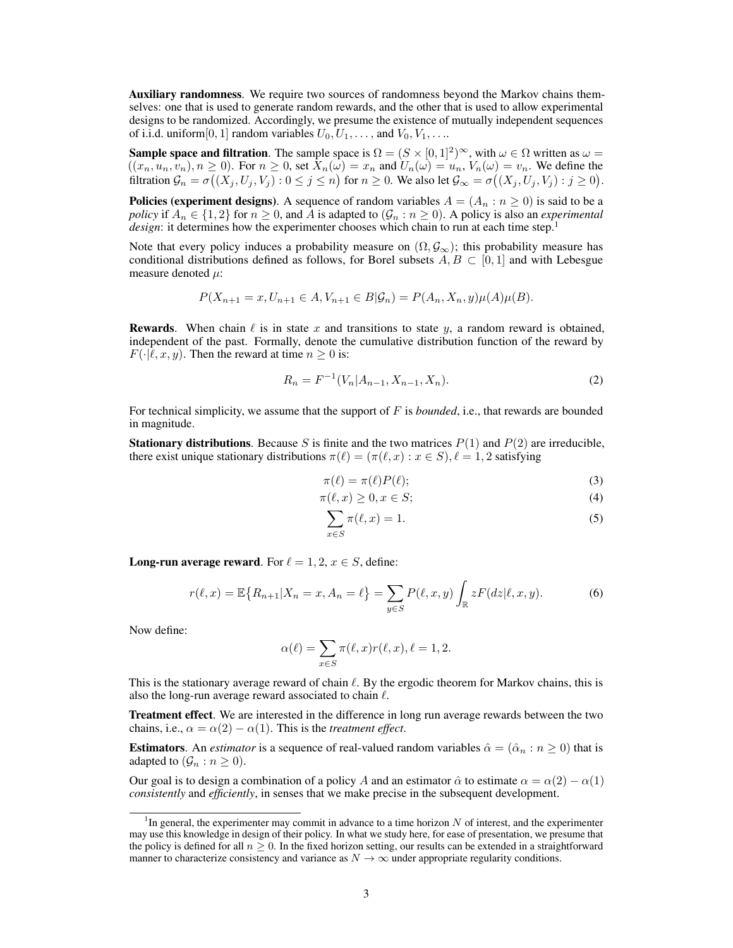Auxiliary randomness. We require two sources of randomness beyond the Markov chains themselves: one that is used to generate random rewards, and the other that is used to allow experimental designs to be randomized. Accordingly, we presume the existence of mutually independent sequences of i.i.d. uniform [0, 1] random variables  $U_0, U_1, \ldots$ , and  $V_0, V_1, \ldots$ 

**Sample space and filtration.** The sample space is  $\Omega = (S \times [0, 1]^2)^\infty$ , with  $\omega \in \Omega$  written as  $\omega =$  $((x_n, u_n, v_n), n \ge 0)$ . For  $n \ge 0$ , set  $X_n(\omega) = x_n$  and  $U_n(\omega) = u_n$ ,  $V_n(\omega) = v_n$ . We define the filtration  $\mathcal{G}_n = \sigma((X_j, U_j, V_j) : 0 \le j \le n)$  for  $n \ge 0$ . We also let  $\mathcal{G}_{\infty} = \sigma((X_j, U_j, V_j) : j \ge 0)$ .

**Policies (experiment designs)**. A sequence of random variables  $A = (A_n : n \ge 0)$  is said to be a *policy* if  $A_n \in \{1,2\}$  for  $n \ge 0$ , and A is adapted to  $(G_n : n \ge 0)$ . A policy is also an *experimental design*: it determines how the experimenter chooses which chain to run at each time step.<sup>[1](#page-2-0)</sup>

Note that every policy induces a probability measure on  $(\Omega, \mathcal{G}_{\infty})$ ; this probability measure has conditional distributions defined as follows, for Borel subsets  $A, B \subset [0,1]$  and with Lebesgue measure denoted  $\mu$ :

$$
P(X_{n+1} = x, U_{n+1} \in A, V_{n+1} \in B | \mathcal{G}_n) = P(A_n, X_n, y) \mu(A) \mu(B).
$$

**Rewards.** When chain  $\ell$  is in state x and transitions to state y, a random reward is obtained, independent of the past. Formally, denote the cumulative distribution function of the reward by  $F(\cdot|\ell, x, y)$ . Then the reward at time  $n \geq 0$  is:

$$
R_n = F^{-1}(V_n | A_{n-1}, X_{n-1}, X_n).
$$
 (2)

For technical simplicity, we assume that the support of F is *bounded*, i.e., that rewards are bounded in magnitude.

**Stationary distributions.** Because S is finite and the two matrices  $P(1)$  and  $P(2)$  are irreducible, there exist unique stationary distributions  $\pi(\ell) = (\pi(\ell, x) : x \in S)$ ,  $\ell = 1, 2$  satisfying

$$
\pi(\ell) = \pi(\ell)P(\ell); \tag{3}
$$

$$
\pi(\ell, x) \ge 0, x \in S; \tag{4}
$$

$$
\sum_{x \in S} \pi(\ell, x) = 1. \tag{5}
$$

**Long-run average reward.** For  $\ell = 1, 2, x \in S$ , define:

$$
r(\ell, x) = \mathbb{E}\{R_{n+1}|X_n = x, A_n = \ell\} = \sum_{y \in S} P(\ell, x, y) \int_{\mathbb{R}} zF(dz|\ell, x, y).
$$
 (6)

Now define:

$$
\alpha(\ell) = \sum_{x \in S} \pi(\ell, x) r(\ell, x), \ell = 1, 2.
$$

This is the stationary average reward of chain  $\ell$ . By the ergodic theorem for Markov chains, this is also the long-run average reward associated to chain  $\ell$ .

Treatment effect. We are interested in the difference in long run average rewards between the two chains, i.e.,  $\alpha = \alpha(2) - \alpha(1)$ . This is the *treatment effect*.

**Estimators.** An *estimator* is a sequence of real-valued random variables  $\hat{\alpha} = (\hat{\alpha}_n : n \ge 0)$  that is adapted to  $(\mathcal{G}_n : n \geq 0)$ .

Our goal is to design a combination of a policy A and an estimator  $\hat{\alpha}$  to estimate  $\alpha = \alpha(2) - \alpha(1)$ *consistently* and *efficiently*, in senses that we make precise in the subsequent development.

<span id="page-2-0"></span> ${}^{1}$ In general, the experimenter may commit in advance to a time horizon N of interest, and the experimenter may use this knowledge in design of their policy. In what we study here, for ease of presentation, we presume that the policy is defined for all  $n \geq 0$ . In the fixed horizon setting, our results can be extended in a straightforward manner to characterize consistency and variance as  $N \to \infty$  under appropriate regularity conditions.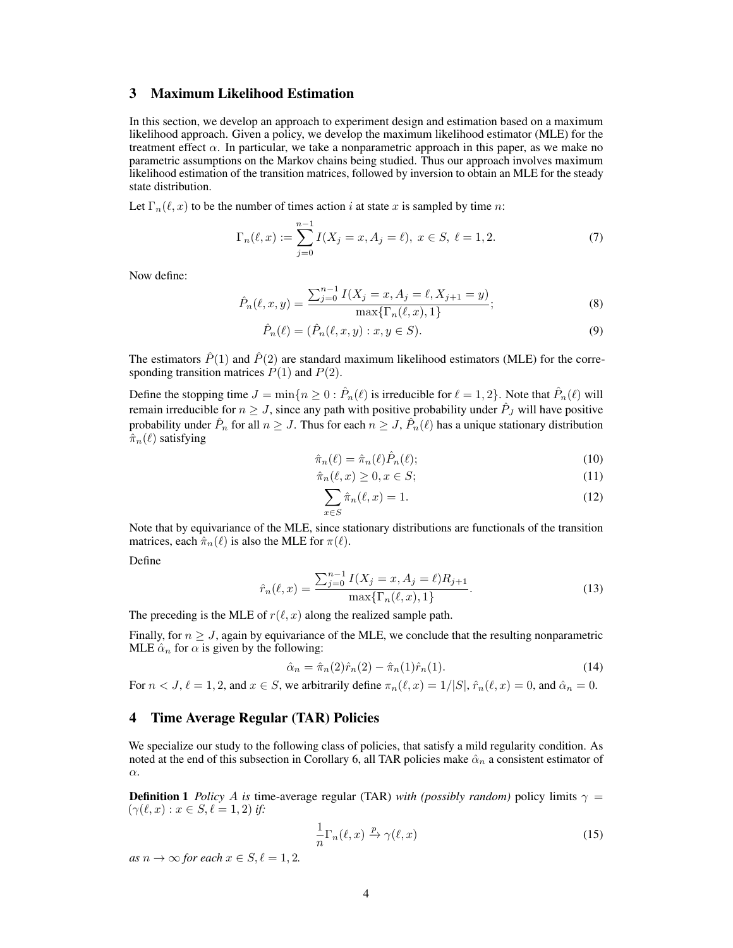## <span id="page-3-0"></span>3 Maximum Likelihood Estimation

In this section, we develop an approach to experiment design and estimation based on a maximum likelihood approach. Given a policy, we develop the maximum likelihood estimator (MLE) for the treatment effect  $\alpha$ . In particular, we take a nonparametric approach in this paper, as we make no parametric assumptions on the Markov chains being studied. Thus our approach involves maximum likelihood estimation of the transition matrices, followed by inversion to obtain an MLE for the steady state distribution.

Let  $\Gamma_n(\ell, x)$  to be the number of times action i at state x is sampled by time n:

$$
\Gamma_n(\ell, x) := \sum_{j=0}^{n-1} I(X_j = x, A_j = \ell), \ x \in S, \ \ell = 1, 2. \tag{7}
$$

Now define:

$$
\hat{P}_n(\ell, x, y) = \frac{\sum_{j=0}^{n-1} I(X_j = x, A_j = \ell, X_{j+1} = y)}{\max\{\Gamma_n(\ell, x), 1\}},
$$
\n(8)

$$
\hat{P}_n(\ell) = (\hat{P}_n(\ell, x, y) : x, y \in S).
$$
\n(9)

The estimators  $\hat{P}(1)$  and  $\hat{P}(2)$  are standard maximum likelihood estimators (MLE) for the corresponding transition matrices  $P(1)$  and  $P(2)$ .

Define the stopping time  $J = \min\{n \ge 0 : \hat{P}_n(\ell)$  is irreducible for  $\ell = 1, 2\}$ . Note that  $\hat{P}_n(\ell)$  will remain irreducible for  $n \geq J$ , since any path with positive probability under  $\hat{P}_J$  will have positive probability under  $\hat{P}_n$  for all  $n \geq J$ . Thus for each  $n \geq J$ ,  $\hat{P}_n(\ell)$  has a unique stationary distribution  $\hat{\pi}_n(\ell)$  satisfying

$$
\hat{\pi}_n(\ell) = \hat{\pi}_n(\ell) \hat{P}_n(\ell); \tag{10}
$$

$$
\hat{\pi}_n(\ell, x) \ge 0, x \in S; \tag{11}
$$

$$
\sum_{x \in S} \hat{\pi}_n(\ell, x) = 1. \tag{12}
$$

Note that by equivariance of the MLE, since stationary distributions are functionals of the transition matrices, each  $\hat{\pi}_n(\ell)$  is also the MLE for  $\pi(\ell)$ .

Define

$$
\hat{r}_n(\ell, x) = \frac{\sum_{j=0}^{n-1} I(X_j = x, A_j = \ell) R_{j+1}}{\max\{\Gamma_n(\ell, x), 1\}}.
$$
\n(13)

The preceding is the MLE of  $r(\ell, x)$  along the realized sample path.

Finally, for  $n > J$ , again by equivariance of the MLE, we conclude that the resulting nonparametric MLE  $\hat{\alpha}_n$  for  $\alpha$  is given by the following:

$$
\hat{\alpha}_n = \hat{\pi}_n(2)\hat{r}_n(2) - \hat{\pi}_n(1)\hat{r}_n(1).
$$
\n(14)

For  $n < J$ ,  $\ell = 1, 2$ , and  $x \in S$ , we arbitrarily define  $\pi_n(\ell, x) = 1/|S|$ ,  $\hat{r}_n(\ell, x) = 0$ , and  $\hat{\alpha}_n = 0$ .

## <span id="page-3-1"></span>4 Time Average Regular (TAR) Policies

We specialize our study to the following class of policies, that satisfy a mild regularity condition. As noted at the end of this subsection in Corollary [6,](#page-4-0) all TAR policies make  $\hat{\alpha}_n$  a consistent estimator of α.

<span id="page-3-2"></span>**Definition 1** *Policy* A *is* time-average regular (TAR) *with (possibly random)* policy limits  $\gamma$  =  $(\gamma(\ell, x) : x \in S, \ell = 1, 2)$  *if:* 

$$
\frac{1}{n}\Gamma_n(\ell, x) \xrightarrow{p} \gamma(\ell, x) \tag{15}
$$

*as*  $n \to \infty$  *for each*  $x \in S, \ell = 1, 2$ *.*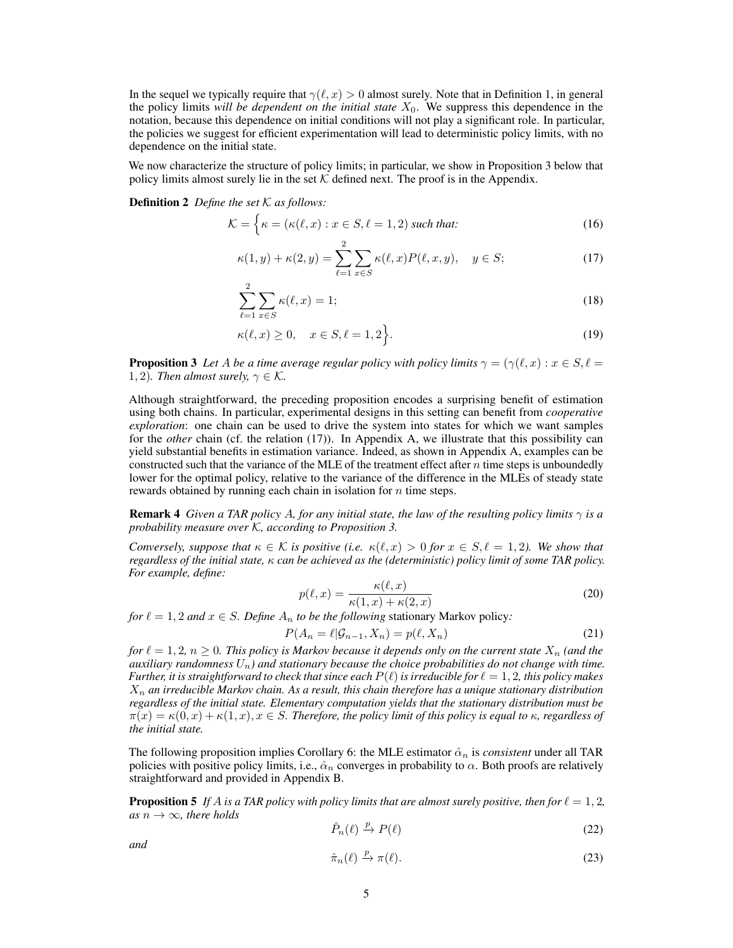In the sequel we typically require that  $\gamma(\ell, x) > 0$  almost surely. Note that in Definition [1,](#page-3-2) in general the policy limits *will be dependent on the initial state*  $X_0$ . We suppress this dependence in the notation, because this dependence on initial conditions will not play a significant role. In particular, the policies we suggest for efficient experimentation will lead to deterministic policy limits, with no dependence on the initial state.

We now characterize the structure of policy limits; in particular, we show in Proposition [3](#page-4-1) below that policy limits almost surely lie in the set  $K$  defined next. The proof is in the Appendix.

<span id="page-4-10"></span>Definition 2 *Define the set* K *as follows:*

$$
\mathcal{K} = \left\{ \kappa = (\kappa(\ell, x) : x \in S, \ell = 1, 2) \text{ such that:} \right\}
$$
 (16)

<span id="page-4-2"></span>
$$
\kappa(1, y) + \kappa(2, y) = \sum_{\ell=1}^{2} \sum_{x \in S} \kappa(\ell, x) P(\ell, x, y), \quad y \in S; \tag{17}
$$

<span id="page-4-4"></span>
$$
\sum_{\ell=1}^{2} \sum_{x \in S} \kappa(\ell, x) = 1;
$$
\n(18)

<span id="page-4-5"></span>
$$
\kappa(\ell, x) \ge 0, \quad x \in S, \ell = 1, 2 \bigg\}.
$$
\n<sup>(19)</sup>

<span id="page-4-1"></span>**Proposition 3** Let A be a time average regular policy with policy limits  $\gamma = (\gamma(\ell, x) : x \in S, \ell = \ell)$ 1, 2)*. Then almost surely,*  $\gamma \in \mathcal{K}$ *.* 

Although straightforward, the preceding proposition encodes a surprising benefit of estimation using both chains. In particular, experimental designs in this setting can benefit from *cooperative exploration*: one chain can be used to drive the system into states for which we want samples for the *other* chain (cf. the relation [\(17\)](#page-4-2)). In Appendix [A,](#page-9-0) we illustrate that this possibility can yield substantial benefits in estimation variance. Indeed, as shown in Appendix [A,](#page-9-0) examples can be constructed such that the variance of the MLE of the treatment effect after  $n$  time steps is unboundedly lower for the optimal policy, relative to the variance of the difference in the MLEs of steady state rewards obtained by running each chain in isolation for  $n$  time steps.

<span id="page-4-9"></span>Remark 4 *Given a TAR policy* A*, for any initial state, the law of the resulting policy limits* γ *is a probability measure over* K*, according to Proposition [3.](#page-4-1)*

*Conversely, suppose that*  $\kappa \in \mathcal{K}$  *is positive (i.e.*  $\kappa(\ell, x) > 0$  *for*  $x \in S, \ell = 1, 2$ *). We show that regardless of the initial state,* κ *can be achieved as the (deterministic) policy limit of some TAR policy. For example, define:*

<span id="page-4-3"></span>
$$
p(\ell, x) = \frac{\kappa(\ell, x)}{\kappa(1, x) + \kappa(2, x)}
$$
\n(20)

*for*  $\ell = 1, 2$  *and*  $x \in S$ *. Define*  $A_n$  *to be the following* stationary Markov policy:

$$
P(A_n = \ell | \mathcal{G}_{n-1}, X_n) = p(\ell, X_n)
$$
\n<sup>(21)</sup>

*for*  $\ell = 1, 2, n \geq 0$ *. This policy is Markov because it depends only on the current state*  $X_n$  *(and the auxiliary randomness*  $U_n$ *) and stationary because the choice probabilities do not change with time. Further, it is straightforward to check that since each*  $P(\ell)$  *is irreducible for*  $\ell = 1, 2$ *, this policy makes* X<sup>n</sup> *an irreducible Markov chain. As a result, this chain therefore has a unique stationary distribution regardless of the initial state. Elementary computation yields that the stationary distribution must be*  $\pi(x) = \kappa(0, x) + \kappa(1, x), x \in S$ *. Therefore, the policy limit of this policy is equal to*  $\kappa$ *, regardless of the initial state.*

The following proposition implies Corollary [6:](#page-4-0) the MLE estimator  $\hat{\alpha}_n$  is *consistent* under all TAR policies with positive policy limits, i.e.,  $\hat{\alpha}_n$  converges in probability to  $\alpha$ . Both proofs are relatively straightforward and provided in Appendix [B.](#page-10-0)

<span id="page-4-6"></span>**Proposition 5** If A is a TAR policy with policy limits that are almost surely positive, then for  $\ell = 1, 2$ ,  $as n \rightarrow \infty$ *, there holds* 

<span id="page-4-7"></span>
$$
\hat{P}_n(\ell) \xrightarrow{p} P(\ell) \tag{22}
$$

<span id="page-4-8"></span><span id="page-4-0"></span>*and*

$$
\hat{\pi}_n(\ell) \xrightarrow{p} \pi(\ell). \tag{23}
$$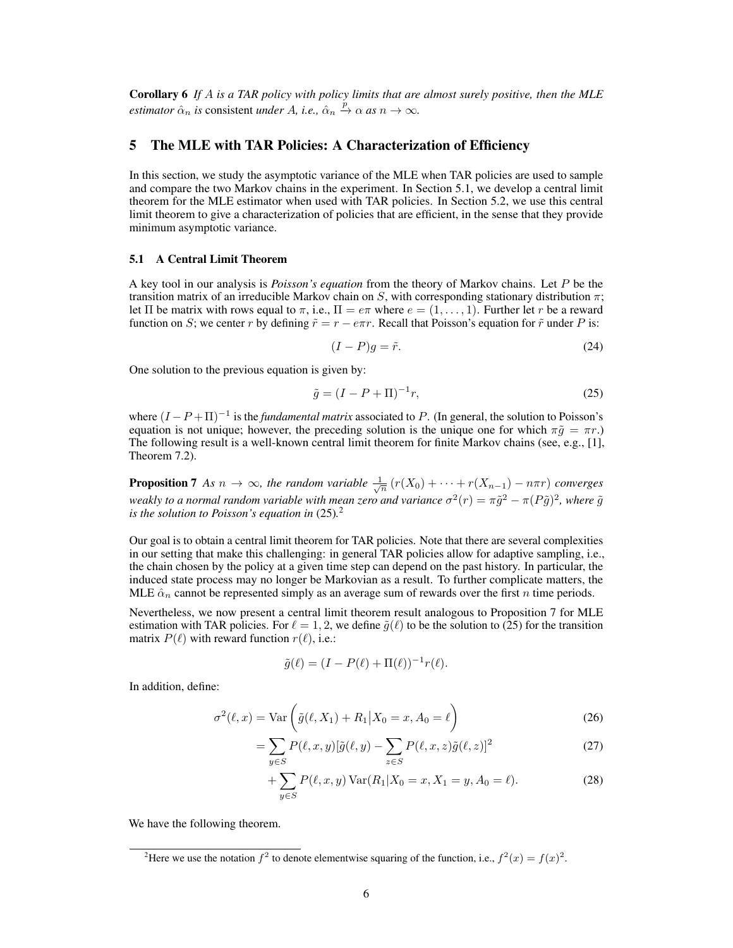Corollary 6 *If* A *is a TAR policy with policy limits that are almost surely positive, then the MLE estimator*  $\hat{\alpha}_n$  *is* consistent *under* A, *i.e.*,  $\hat{\alpha}_n \xrightarrow{p} \alpha$  *as*  $n \to \infty$ .

## <span id="page-5-0"></span>5 The MLE with TAR Policies: A Characterization of Efficiency

In this section, we study the asymptotic variance of the MLE when TAR policies are used to sample and compare the two Markov chains in the experiment. In Section [5.1,](#page-5-1) we develop a central limit theorem for the MLE estimator when used with TAR policies. In Section [5.2,](#page-6-0) we use this central limit theorem to give a characterization of policies that are efficient, in the sense that they provide minimum asymptotic variance.

#### <span id="page-5-1"></span>5.1 A Central Limit Theorem

A key tool in our analysis is *Poisson's equation* from the theory of Markov chains. Let P be the transition matrix of an irreducible Markov chain on S, with corresponding stationary distribution  $\pi$ ; let  $\Pi$  be matrix with rows equal to  $\pi$ , i.e.,  $\Pi = e\pi$  where  $e = (1, \dots, 1)$ . Further let r be a reward function on S; we center r by defining  $\tilde{r} = r - e\pi r$ . Recall that Poisson's equation for  $\tilde{r}$  under P is:

<span id="page-5-2"></span>
$$
(I - P)g = \tilde{r}.\tag{24}
$$

One solution to the previous equation is given by:

$$
\tilde{g} = (I - P + \Pi)^{-1}r,\tag{25}
$$

where  $(I - P + \Pi)^{-1}$  is the *fundamental matrix* associated to P. (In general, the solution to Poisson's equation is not unique; however, the preceding solution is the unique one for which  $\pi \tilde{g} = \pi r$ .) The following result is a well-known central limit theorem for finite Markov chains (see, e.g., [\[1\]](#page-8-23), Theorem 7.2).

<span id="page-5-4"></span>**Proposition 7** As  $n \to \infty$ , the random variable  $\frac{1}{\sqrt{n}}(r(X_0) + \cdots + r(X_{n-1}) - n\pi r)$  converges weakly to a normal random variable with mean zero and variance  $\sigma^2(r) = \pi \tilde{g}^2 - \pi (P\tilde{g})^2$ , where  $\tilde{g}$ *is the solution to Poisson's equation in* [\(25\)](#page-5-2)*.* [2](#page-5-3)

Our goal is to obtain a central limit theorem for TAR policies. Note that there are several complexities in our setting that make this challenging: in general TAR policies allow for adaptive sampling, i.e., the chain chosen by the policy at a given time step can depend on the past history. In particular, the induced state process may no longer be Markovian as a result. To further complicate matters, the MLE  $\hat{\alpha}_n$  cannot be represented simply as an average sum of rewards over the first n time periods.

Nevertheless, we now present a central limit theorem result analogous to Proposition [7](#page-5-4) for MLE estimation with TAR policies. For  $\ell = 1, 2$ , we define  $\tilde{g}(\ell)$  to be the solution to [\(25\)](#page-5-2) for the transition matrix  $P(\ell)$  with reward function  $r(\ell)$ , i.e.:

$$
\tilde{g}(\ell) = (I - P(\ell) + \Pi(\ell))^{-1} r(\ell).
$$

In addition, define:

$$
\sigma^2(\ell, x) = \text{Var}\left(\tilde{g}(\ell, X_1) + R_1 | X_0 = x, A_0 = \ell\right)
$$
\n(26)

$$
= \sum_{y \in S} P(\ell, x, y) [\tilde{g}(\ell, y) - \sum_{z \in S} P(\ell, x, z) \tilde{g}(\ell, z)]^2
$$
\n(27)

<span id="page-5-6"></span>+ 
$$
\sum_{y \in S} P(\ell, x, y) \text{Var}(R_1 | X_0 = x, X_1 = y, A_0 = \ell).
$$
 (28)

<span id="page-5-5"></span>We have the following theorem.

<span id="page-5-3"></span><sup>&</sup>lt;sup>2</sup>Here we use the notation  $f^2$  to denote elementwise squaring of the function, i.e.,  $f^2(x) = f(x)^2$ .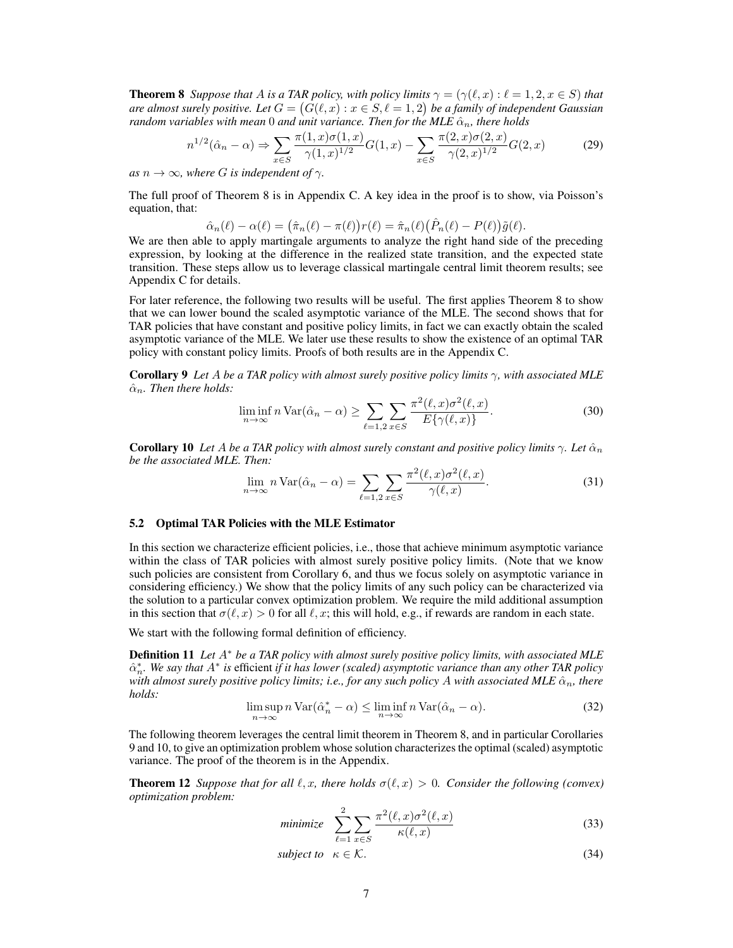**Theorem 8** *Suppose that* A *is a TAR policy, with policy limits*  $\gamma = (\gamma(\ell, x) : \ell = 1, 2, x \in S)$  *that* are almost surely positive. Let  $G = (G(\ell, x) : x \in S, \ell = 1, 2)$  be a family of independent Gaussian *random variables with mean* 0 *and unit variance. Then for the MLE*  $\hat{\alpha}_n$ *, there holds* 

$$
n^{1/2}(\hat{\alpha}_n - \alpha) \Rightarrow \sum_{x \in S} \frac{\pi(1, x)\sigma(1, x)}{\gamma(1, x)^{1/2}} G(1, x) - \sum_{x \in S} \frac{\pi(2, x)\sigma(2, x)}{\gamma(2, x)^{1/2}} G(2, x) \tag{29}
$$

*as*  $n \to \infty$ *, where G is independent of*  $\gamma$ *.* 

The full proof of Theorem [8](#page-5-5) is in Appendix [C.](#page-11-0) A key idea in the proof is to show, via Poisson's equation, that:

<span id="page-6-6"></span>
$$
\hat{\alpha}_n(\ell) - \alpha(\ell) = (\hat{\pi}_n(\ell) - \pi(\ell))r(\ell) = \hat{\pi}_n(\ell)(\hat{P}_n(\ell) - P(\ell))\tilde{g}(\ell).
$$

We are then able to apply martingale arguments to analyze the right hand side of the preceding expression, by looking at the difference in the realized state transition, and the expected state transition. These steps allow us to leverage classical martingale central limit theorem results; see Appendix [C](#page-11-0) for details.

For later reference, the following two results will be useful. The first applies Theorem [8](#page-5-5) to show that we can lower bound the scaled asymptotic variance of the MLE. The second shows that for TAR policies that have constant and positive policy limits, in fact we can exactly obtain the scaled asymptotic variance of the MLE. We later use these results to show the existence of an optimal TAR policy with constant policy limits. Proofs of both results are in the Appendix [C.](#page-11-0)

<span id="page-6-1"></span>Corollary 9 *Let* A *be a TAR policy with almost surely positive policy limits* γ*, with associated MLE*  $\hat{\alpha}_n$ . Then there holds:

<span id="page-6-7"></span>
$$
\liminf_{n \to \infty} n \operatorname{Var}(\hat{\alpha}_n - \alpha) \ge \sum_{\ell=1,2} \sum_{x \in S} \frac{\pi^2(\ell, x) \sigma^2(\ell, x)}{E\{\gamma(\ell, x)\}}.
$$
\n(30)

<span id="page-6-2"></span>**Corollary 10** Let A be a TAR policy with almost surely constant and positive policy limits  $\gamma$ . Let  $\hat{\alpha}_n$ *be the associated MLE. Then:*

$$
\lim_{n \to \infty} n \operatorname{Var}(\hat{\alpha}_n - \alpha) = \sum_{\ell=1,2} \sum_{x \in S} \frac{\pi^2(\ell, x) \sigma^2(\ell, x)}{\gamma(\ell, x)}.
$$
\n(31)

#### <span id="page-6-0"></span>5.2 Optimal TAR Policies with the MLE Estimator

In this section we characterize efficient policies, i.e., those that achieve minimum asymptotic variance within the class of TAR policies with almost surely positive policy limits. (Note that we know such policies are consistent from Corollary [6,](#page-4-0) and thus we focus solely on asymptotic variance in considering efficiency.) We show that the policy limits of any such policy can be characterized via the solution to a particular convex optimization problem. We require the mild additional assumption in this section that  $\sigma(\ell, x) > 0$  for all  $\ell, x$ ; this will hold, e.g., if rewards are random in each state.

We start with the following formal definition of efficiency.

Definition 11 *Let* A<sup>∗</sup> *be a TAR policy with almost surely positive policy limits, with associated MLE*  $\hat{\alpha}_n^*$ . We say that  $A^*$  is efficient *if it has lower (scaled) asymptotic variance than any other TAR policy with almost surely positive policy limits; i.e., for any such policy A with associated MLE*  $\hat{\alpha}_n$ *, there holds:*

$$
\limsup_{n \to \infty} n \operatorname{Var}(\hat{\alpha}_n^* - \alpha) \le \liminf_{n \to \infty} n \operatorname{Var}(\hat{\alpha}_n - \alpha). \tag{32}
$$

The following theorem leverages the central limit theorem in Theorem [8,](#page-5-5) and in particular Corollaries [9](#page-6-1) and [10,](#page-6-2) to give an optimization problem whose solution characterizes the optimal (scaled) asymptotic variance. The proof of the theorem is in the Appendix.

<span id="page-6-4"></span>**Theorem 12** *Suppose that for all*  $\ell, x$ *, there holds*  $\sigma(\ell, x) > 0$ *. Consider the following (convex) optimization problem:*

<span id="page-6-3"></span>
$$
minimize \sum_{\ell=1}^{2} \sum_{x \in S} \frac{\pi^2(\ell, x)\sigma^2(\ell, x)}{\kappa(\ell, x)}
$$
(33)

<span id="page-6-5"></span>
$$
subject\ to\ \kappa \in \mathcal{K}.\tag{34}
$$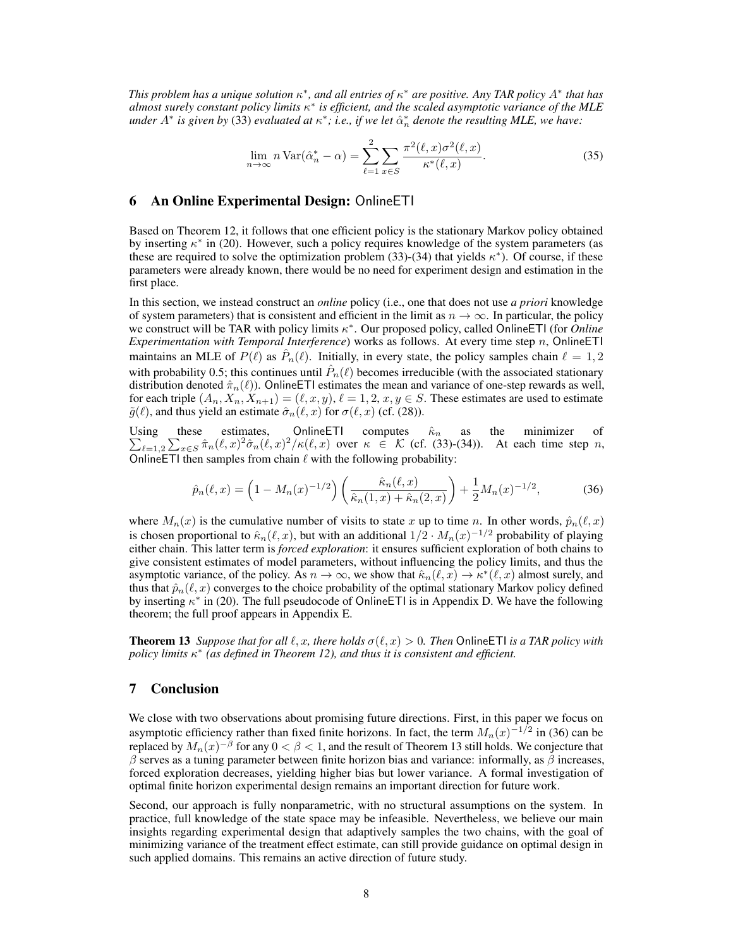*This problem has a unique solution*  $\kappa^*$ , and all entries of  $\kappa^*$  are positive. Any TAR policy  $A^*$  that has *almost surely constant policy limits* κ ∗ *is efficient, and the scaled asymptotic variance of the MLE* under  $A^*$  is given by [\(33\)](#page-6-3) evaluated at  $\kappa^*$ ; i.e., if we let  $\hat{\alpha}_n^*$  denote the resulting MLE, we have:

<span id="page-7-4"></span>
$$
\lim_{n \to \infty} n \operatorname{Var}(\hat{\alpha}_n^* - \alpha) = \sum_{\ell=1}^2 \sum_{x \in S} \frac{\pi^2(\ell, x)\sigma^2(\ell, x)}{\kappa^*(\ell, x)}.
$$
\n(35)

#### <span id="page-7-0"></span>6 An Online Experimental Design: OnlineETI

Based on Theorem [12,](#page-6-4) it follows that one efficient policy is the stationary Markov policy obtained by inserting  $\kappa^*$  in [\(20\)](#page-4-3). However, such a policy requires knowledge of the system parameters (as these are required to solve the optimization problem [\(33\)](#page-6-3)-[\(34\)](#page-6-5) that yields  $\kappa^*$ ). Of course, if these parameters were already known, there would be no need for experiment design and estimation in the first place.

In this section, we instead construct an *online* policy (i.e., one that does not use *a priori* knowledge of system parameters) that is consistent and efficient in the limit as  $n \to \infty$ . In particular, the policy we construct will be TAR with policy limits κ ∗ . Our proposed policy, called OnlineETI (for *Online Experimentation with Temporal Interference*) works as follows. At every time step n, OnlineETI maintains an MLE of  $P(\ell)$  as  $\hat{P}_n(\ell)$ . Initially, in every state, the policy samples chain  $\ell = 1, 2$ with probability 0.5; this continues until  $\hat{P}_n(\ell)$  becomes irreducible (with the associated stationary distribution denoted  $\hat{\pi}_n(\ell)$ ). OnlineETI estimates the mean and variance of one-step rewards as well, for each triple  $(A_n, X_n, X_{n+1}) = (\ell, x, y), \ell = 1, 2, x, y \in S$ . These estimates are used to estimate  $\tilde{g}(\ell)$ , and thus yield an estimate  $\hat{\sigma}_n(\ell, x)$  for  $\sigma(\ell, x)$  (cf. [\(28\)](#page-5-6)).

Using these estimates,  $\sum_{\ell=1,2}\sum_{x\in S}\hat{\pi}_n(\ell,x)^2\hat{\sigma}_n(\ell,x)^2/\kappa(\ell,x)$  over  $\kappa \in \mathcal{K}$  (cf. [\(33\)](#page-6-3)-[\(34\)](#page-6-5)). At each time step n, OnlineETI computes  $\hat{\kappa}_n$  as the minimizer of OnlineETI then samples from chain  $\ell$  with the following probability:

<span id="page-7-2"></span>
$$
\hat{p}_n(\ell, x) = \left(1 - M_n(x)^{-1/2}\right) \left(\frac{\hat{\kappa}_n(\ell, x)}{\hat{\kappa}_n(1, x) + \hat{\kappa}_n(2, x)}\right) + \frac{1}{2} M_n(x)^{-1/2},\tag{36}
$$

where  $M_n(x)$  is the cumulative number of visits to state x up to time n. In other words,  $\hat{p}_n(\ell, x)$ is chosen proportional to  $\hat{\kappa}_n(\ell, x)$ , but with an additional  $1/2 \cdot M_n(x)^{-1/2}$  probability of playing either chain. This latter term is *forced exploration*: it ensures sufficient exploration of both chains to give consistent estimates of model parameters, without influencing the policy limits, and thus the asymptotic variance, of the policy. As  $n \to \infty$ , we show that  $\hat{\kappa}_n(\ell, x) \to \kappa^*(\ell, x)$  almost surely, and thus that  $\hat{p}_n(\ell, x)$  converges to the choice probability of the optimal stationary Markov policy defined by inserting  $\kappa^*$  in [\(20\)](#page-4-3). The full pseudocode of OnlineETI is in Appendix [D.](#page-15-0) We have the following theorem; the full proof appears in Appendix [E.](#page-15-1)

<span id="page-7-3"></span>**Theorem 13** *Suppose that for all*  $\ell, x$ *, there holds*  $\sigma(\ell, x) > 0$ *. Then* OnlineETI *is a TAR policy with policy limits* κ ∗ *(as defined in Theorem [12\)](#page-6-4), and thus it is consistent and efficient.*

## <span id="page-7-1"></span>7 Conclusion

We close with two observations about promising future directions. First, in this paper we focus on asymptotic efficiency rather than fixed finite horizons. In fact, the term  $M_n(x)^{-1/2}$  in [\(36\)](#page-7-2) can be replaced by  $M_n(x)^{-\beta}$  for any  $0<\beta< 1,$  and the result of Theorem [13](#page-7-3) still holds. We conjecture that  $β$  serves as a tuning parameter between finite horizon bias and variance: informally, as  $β$  increases, forced exploration decreases, yielding higher bias but lower variance. A formal investigation of optimal finite horizon experimental design remains an important direction for future work.

Second, our approach is fully nonparametric, with no structural assumptions on the system. In practice, full knowledge of the state space may be infeasible. Nevertheless, we believe our main insights regarding experimental design that adaptively samples the two chains, with the goal of minimizing variance of the treatment effect estimate, can still provide guidance on optimal design in such applied domains. This remains an active direction of future study.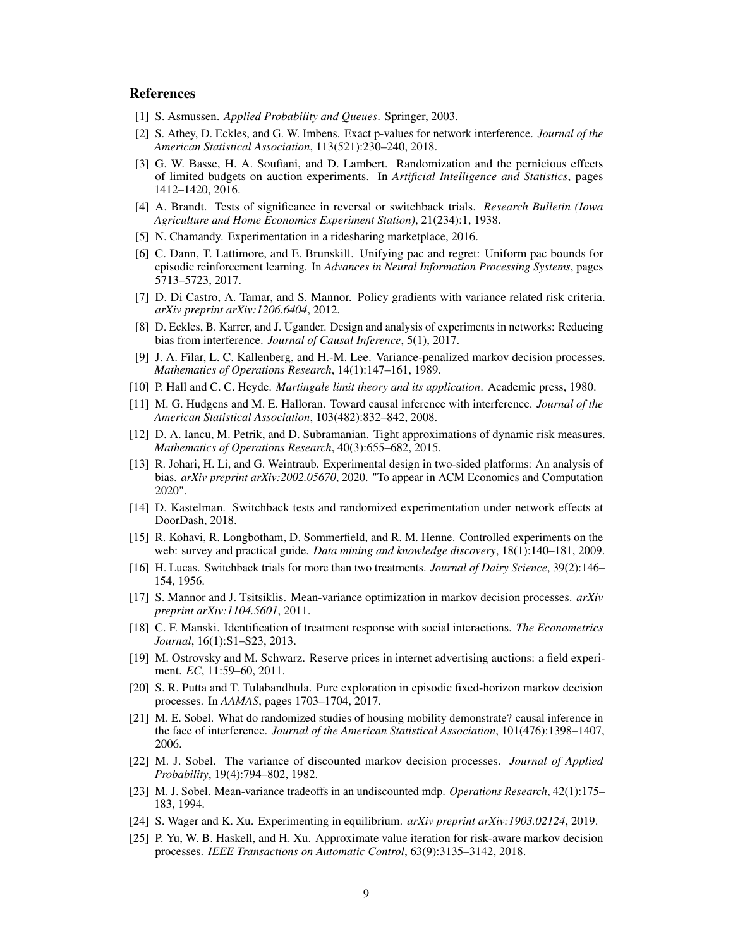## References

- <span id="page-8-23"></span>[1] S. Asmussen. *Applied Probability and Queues*. Springer, 2003.
- <span id="page-8-5"></span>[2] S. Athey, D. Eckles, and G. W. Imbens. Exact p-values for network interference. *Journal of the American Statistical Association*, 113(521):230–240, 2018.
- <span id="page-8-4"></span>[3] G. W. Basse, H. A. Soufiani, and D. Lambert. Randomization and the pernicious effects of limited budgets on auction experiments. In *Artificial Intelligence and Statistics*, pages 1412–1420, 2016.
- <span id="page-8-0"></span>[4] A. Brandt. Tests of significance in reversal or switchback trials. *Research Bulletin (Iowa Agriculture and Home Economics Experiment Station)*, 21(234):1, 1938.
- <span id="page-8-2"></span>[5] N. Chamandy. Experimentation in a ridesharing marketplace, 2016.
- <span id="page-8-15"></span>[6] C. Dann, T. Lattimore, and E. Brunskill. Unifying pac and regret: Uniform pac bounds for episodic reinforcement learning. In *Advances in Neural Information Processing Systems*, pages 5713–5723, 2017.
- <span id="page-8-18"></span>[7] D. Di Castro, A. Tamar, and S. Mannor. Policy gradients with variance related risk criteria. *arXiv preprint arXiv:1206.6404*, 2012.
- <span id="page-8-6"></span>[8] D. Eckles, B. Karrer, and J. Ugander. Design and analysis of experiments in networks: Reducing bias from interference. *Journal of Causal Inference*, 5(1), 2017.
- <span id="page-8-19"></span>[9] J. A. Filar, L. C. Kallenberg, and H.-M. Lee. Variance-penalized markov decision processes. *Mathematics of Operations Research*, 14(1):147–161, 1989.
- <span id="page-8-24"></span>[10] P. Hall and C. C. Heyde. *Martingale limit theory and its application*. Academic press, 1980.
- <span id="page-8-7"></span>[11] M. G. Hudgens and M. E. Halloran. Toward causal inference with interference. *Journal of the American Statistical Association*, 103(482):832–842, 2008.
- <span id="page-8-20"></span>[12] D. A. Iancu, M. Petrik, and D. Subramanian. Tight approximations of dynamic risk measures. *Mathematics of Operations Research*, 40(3):655–682, 2015.
- <span id="page-8-13"></span>[13] R. Johari, H. Li, and G. Weintraub. Experimental design in two-sided platforms: An analysis of bias. *arXiv preprint arXiv:2002.05670*, 2020. "To appear in ACM Economics and Computation 2020".
- <span id="page-8-3"></span>[14] D. Kastelman. Switchback tests and randomized experimentation under network effects at DoorDash, 2018.
- <span id="page-8-10"></span>[15] R. Kohavi, R. Longbotham, D. Sommerfield, and R. M. Henne. Controlled experiments on the web: survey and practical guide. *Data mining and knowledge discovery*, 18(1):140–181, 2009.
- <span id="page-8-1"></span>[16] H. Lucas. Switchback trials for more than two treatments. *Journal of Dairy Science*, 39(2):146– 154, 1956.
- <span id="page-8-21"></span>[17] S. Mannor and J. Tsitsiklis. Mean-variance optimization in markov decision processes. *arXiv preprint arXiv:1104.5601*, 2011.
- <span id="page-8-8"></span>[18] C. F. Manski. Identification of treatment response with social interactions. *The Econometrics Journal*, 16(1):S1–S23, 2013.
- <span id="page-8-11"></span>[19] M. Ostrovsky and M. Schwarz. Reserve prices in internet advertising auctions: a field experiment. *EC*, 11:59–60, 2011.
- <span id="page-8-14"></span>[20] S. R. Putta and T. Tulabandhula. Pure exploration in episodic fixed-horizon markov decision processes. In *AAMAS*, pages 1703–1704, 2017.
- <span id="page-8-9"></span>[21] M. E. Sobel. What do randomized studies of housing mobility demonstrate? causal inference in the face of interference. *Journal of the American Statistical Association*, 101(476):1398–1407, 2006.
- <span id="page-8-16"></span>[22] M. J. Sobel. The variance of discounted markov decision processes. *Journal of Applied Probability*, 19(4):794–802, 1982.
- <span id="page-8-17"></span>[23] M. J. Sobel. Mean-variance tradeoffs in an undiscounted mdp. *Operations Research*, 42(1):175– 183, 1994.
- <span id="page-8-12"></span>[24] S. Wager and K. Xu. Experimenting in equilibrium. *arXiv preprint arXiv:1903.02124*, 2019.
- <span id="page-8-22"></span>[25] P. Yu, W. B. Haskell, and H. Xu. Approximate value iteration for risk-aware markov decision processes. *IEEE Transactions on Automatic Control*, 63(9):3135–3142, 2018.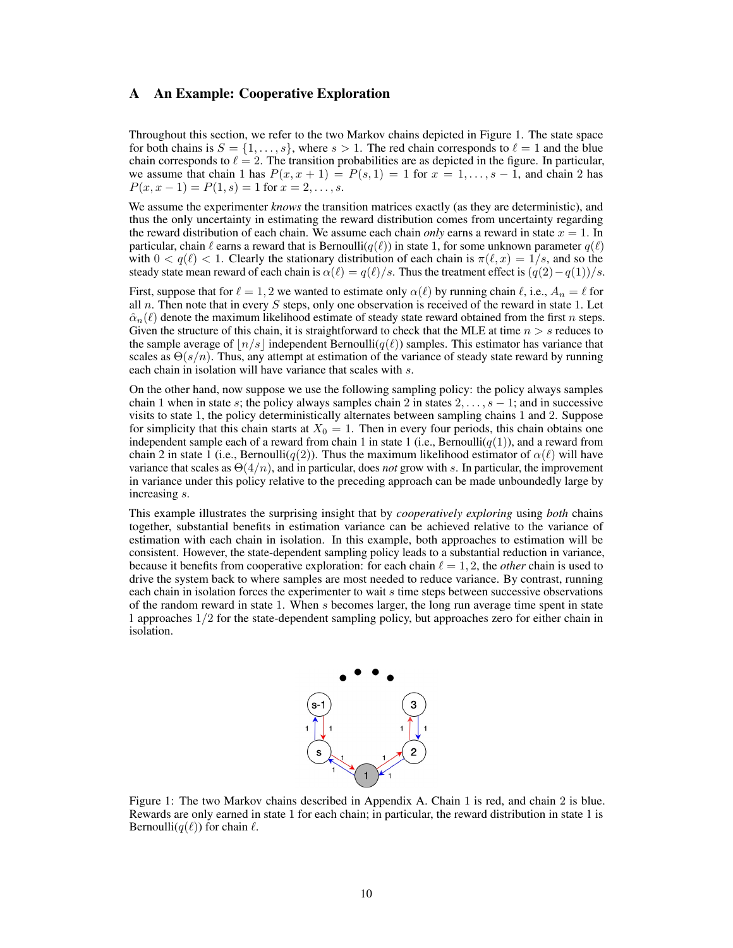## <span id="page-9-0"></span>A An Example: Cooperative Exploration

Throughout this section, we refer to the two Markov chains depicted in Figure [1.](#page-9-1) The state space for both chains is  $S = \{1, \ldots, s\}$ , where  $s > 1$ . The red chain corresponds to  $\ell = 1$  and the blue chain corresponds to  $\ell = 2$ . The transition probabilities are as depicted in the figure. In particular, we assume that chain 1 has  $P(x, x + 1) = P(s, 1) = 1$  for  $x = 1, \ldots, s - 1$ , and chain 2 has  $P(x, x - 1) = P(1, s) = 1$  for  $x = 2, ..., s$ .

We assume the experimenter *knows* the transition matrices exactly (as they are deterministic), and thus the only uncertainty in estimating the reward distribution comes from uncertainty regarding the reward distribution of each chain. We assume each chain *only* earns a reward in state  $x = 1$ . In particular, chain  $\ell$  earns a reward that is Bernoulli( $q(\ell)$ ) in state 1, for some unknown parameter  $q(\ell)$ with  $0 < q(\ell) < 1$ . Clearly the stationary distribution of each chain is  $\pi(\ell, x) = 1/s$ , and so the steady state mean reward of each chain is  $\alpha(\ell) = q(\ell)/s$ . Thus the treatment effect is  $(q(2) - q(1))/s$ .

First, suppose that for  $\ell = 1, 2$  we wanted to estimate only  $\alpha(\ell)$  by running chain  $\ell$ , i.e.,  $A_n = \ell$  for all n. Then note that in every S steps, only one observation is received of the reward in state 1. Let  $\hat{\alpha}_n(\ell)$  denote the maximum likelihood estimate of steady state reward obtained from the first n steps. Given the structure of this chain, it is straightforward to check that the MLE at time  $n > s$  reduces to the sample average of  $|n/s|$  independent Bernoulli( $q(\ell)$ ) samples. This estimator has variance that scales as  $\Theta(s/n)$ . Thus, any attempt at estimation of the variance of steady state reward by running each chain in isolation will have variance that scales with s.

On the other hand, now suppose we use the following sampling policy: the policy always samples chain 1 when in state s; the policy always samples chain 2 in states  $2, \ldots, s - 1$ ; and in successive visits to state 1, the policy deterministically alternates between sampling chains 1 and 2. Suppose for simplicity that this chain starts at  $X_0 = 1$ . Then in every four periods, this chain obtains one independent sample each of a reward from chain 1 in state 1 (i.e., Bernoulli( $q(1)$ ), and a reward from chain 2 in state 1 (i.e., Bernoulli(q(2)). Thus the maximum likelihood estimator of  $\alpha(\ell)$  will have variance that scales as  $\Theta(4/n)$ , and in particular, does *not* grow with s. In particular, the improvement in variance under this policy relative to the preceding approach can be made unboundedly large by increasing s.

This example illustrates the surprising insight that by *cooperatively exploring* using *both* chains together, substantial benefits in estimation variance can be achieved relative to the variance of estimation with each chain in isolation. In this example, both approaches to estimation will be consistent. However, the state-dependent sampling policy leads to a substantial reduction in variance, because it benefits from cooperative exploration: for each chain  $\ell = 1, 2$ , the *other* chain is used to drive the system back to where samples are most needed to reduce variance. By contrast, running each chain in isolation forces the experimenter to wait s time steps between successive observations of the random reward in state 1. When s becomes larger, the long run average time spent in state 1 approaches 1/2 for the state-dependent sampling policy, but approaches zero for either chain in isolation.



<span id="page-9-1"></span>Figure 1: The two Markov chains described in Appendix [A.](#page-9-0) Chain 1 is red, and chain 2 is blue. Rewards are only earned in state 1 for each chain; in particular, the reward distribution in state 1 is Bernoulli $(q(\ell))$  for chain  $\ell$ .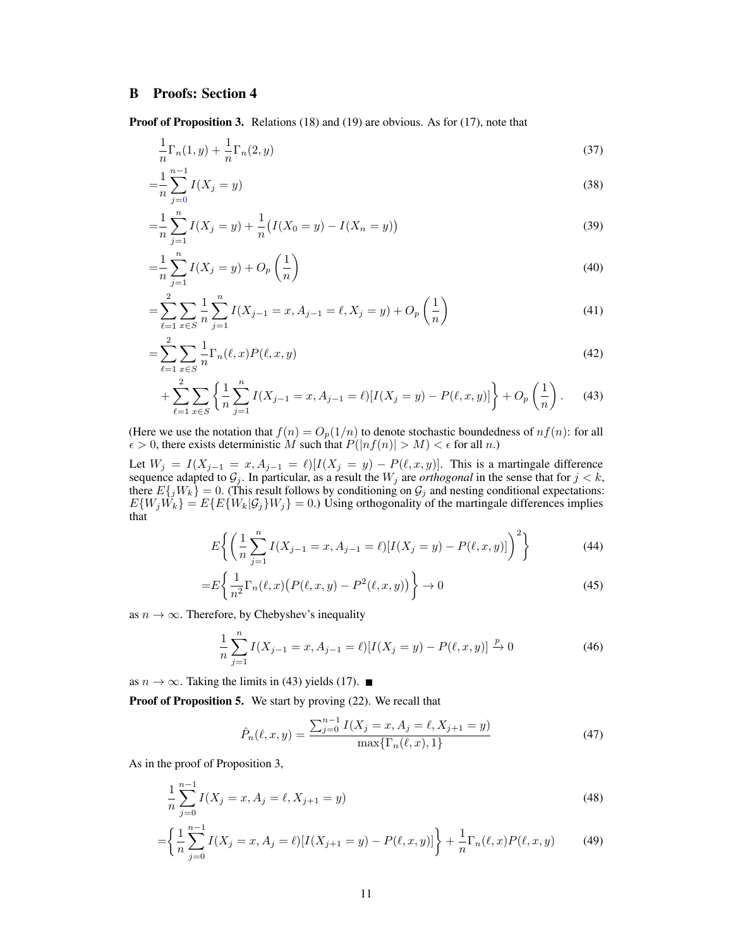# <span id="page-10-0"></span>B Proofs: Section [4](#page-3-1)

Proof of Proposition [3.](#page-4-1) Relations [\(18\)](#page-4-4) and [\(19\)](#page-4-5) are obvious. As for [\(17\)](#page-4-2), note that

$$
\frac{1}{n}\Gamma_n(1,y) + \frac{1}{n}\Gamma_n(2,y) \tag{37}
$$

$$
=\frac{1}{n}\sum_{j=0}^{n-1}I(X_j = y)
$$
\n(38)

$$
=\frac{1}{n}\sum_{j=1}^{n}I(X_j = y) + \frac{1}{n}\big(I(X_0 = y) - I(X_n = y)\big) \tag{39}
$$

$$
=\frac{1}{n}\sum_{j=1}^{n}I(X_j = y) + O_p\left(\frac{1}{n}\right)
$$
\n(40)

$$
= \sum_{\ell=1}^{2} \sum_{x \in S} \frac{1}{n} \sum_{j=1}^{n} I(X_{j-1} = x, A_{j-1} = \ell, X_j = y) + O_p\left(\frac{1}{n}\right)
$$
(41)

$$
=\sum_{\ell=1}^{2} \sum_{x \in S} \frac{1}{n} \Gamma_n(\ell, x) P(\ell, x, y)
$$
\n(42)

$$
+\sum_{\ell=1}^{2}\sum_{x\in S}\left\{\frac{1}{n}\sum_{j=1}^{n}I(X_{j-1}=x,A_{j-1}=\ell)[I(X_{j}=y)-P(\ell,x,y)]\right\}+O_{p}\left(\frac{1}{n}\right).
$$
 (43)

(Here we use the notation that  $f(n) = O_p(1/n)$  to denote stochastic boundedness of  $nf(n)$ : for all  $\epsilon > 0$ , there exists deterministic M such that  $P(|nf(n)| > M) < \epsilon$  for all n.)

Let  $W_j = I(X_{j-1} = x, A_{j-1} = \ell)[I(X_j = y) - P(\ell, x, y)]$ . This is a martingale difference sequence adapted to  $G_j$ . In particular, as a result the  $W_j$  are *orthogonal* in the sense that for  $j < k$ , there  $E\{jW_k\} = 0$ . (This result follows by conditioning on  $\mathcal{G}_j$  and nesting conditional expectations:  $E\{W_jW_k\} = E\{E\{W_k|\mathcal{G}_j\}W_j\} = 0.$  Using orthogonality of the martingale differences implies that

<span id="page-10-1"></span>
$$
E\left\{ \left( \frac{1}{n} \sum_{j=1}^{n} I(X_{j-1} = x, A_{j-1} = \ell) [I(X_j = y) - P(\ell, x, y)] \right)^2 \right\}
$$
(44)

$$
=E\left\{\frac{1}{n^2}\Gamma_n(\ell,x)\big(P(\ell,x,y)-P^2(\ell,x,y)\big)\right\}\to 0\tag{45}
$$

as  $n \to \infty$ . Therefore, by Chebyshev's inequality

$$
\frac{1}{n}\sum_{j=1}^{n} I(X_{j-1} = x, A_{j-1} = \ell)[I(X_j = y) - P(\ell, x, y)] \xrightarrow{p} 0 \tag{46}
$$

as  $n \to \infty$ . Taking the limits in [\(43\)](#page-10-1) yields [\(17\)](#page-4-2). ■

Proof of Proposition [5.](#page-4-6) We start by proving [\(22\)](#page-4-7). We recall that

<span id="page-10-2"></span>
$$
\hat{P}_n(\ell, x, y) = \frac{\sum_{j=0}^{n-1} I(X_j = x, A_j = \ell, X_{j+1} = y)}{\max\{\Gamma_n(\ell, x), 1\}}\tag{47}
$$

As in the proof of Proposition [3,](#page-4-1)

$$
\frac{1}{n}\sum_{j=0}^{n-1} I(X_j = x, A_j = \ell, X_{j+1} = y)
$$
\n(48)

$$
= \left\{ \frac{1}{n} \sum_{j=0}^{n-1} I(X_j = x, A_j = \ell) [I(X_{j+1} = y) - P(\ell, x, y)] \right\} + \frac{1}{n} \Gamma_n(\ell, x) P(\ell, x, y) \tag{49}
$$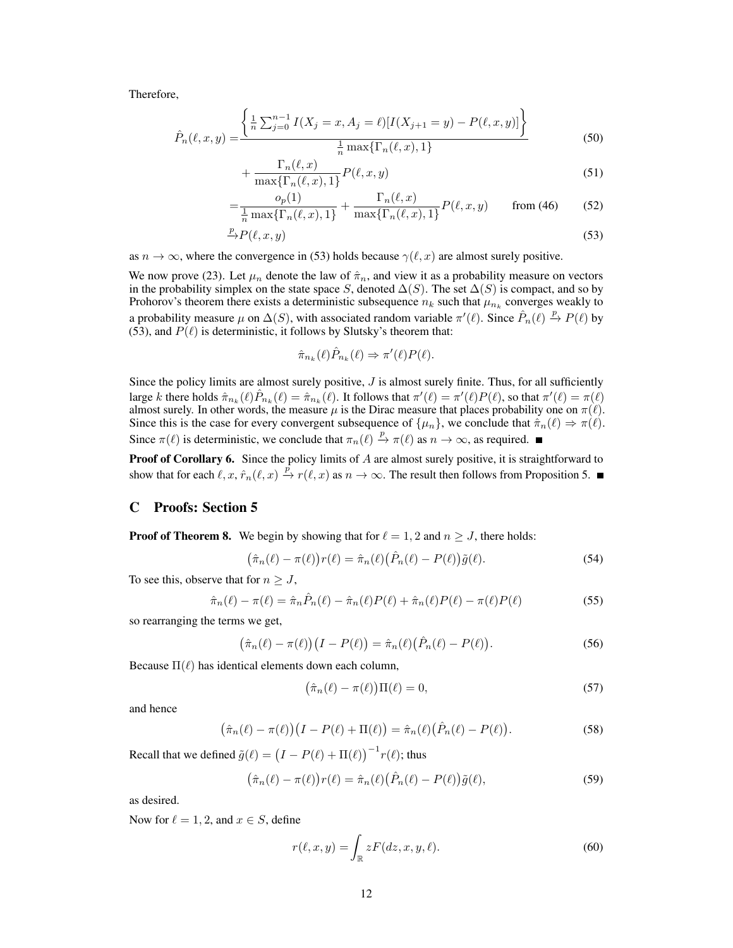Therefore,

$$
\hat{P}_n(\ell, x, y) = \frac{\left\{ \frac{1}{n} \sum_{j=0}^{n-1} I(X_j = x, A_j = \ell) [I(X_{j+1} = y) - P(\ell, x, y)] \right\}}{\frac{1}{n} \max\{\Gamma_n(\ell, x), 1\}}
$$
\n(50)

$$
+\frac{\Gamma_n(\ell,x)}{\max\{\Gamma_n(\ell,x),1\}}P(\ell,x,y) \tag{51}
$$

$$
= \frac{o_p(1)}{\frac{1}{n}\max\{\Gamma_n(\ell,x),1\}} + \frac{\Gamma_n(\ell,x)}{\max\{\Gamma_n(\ell,x),1\}} P(\ell,x,y) \qquad \text{from (46)} \tag{52}
$$

$$
\xrightarrow{p} P(\ell, x, y) \tag{53}
$$

as  $n \to \infty$ , where the convergence in [\(53\)](#page-11-1) holds because  $\gamma(\ell, x)$  are almost surely positive.

We now prove [\(23\)](#page-4-8). Let  $\mu_n$  denote the law of  $\hat{\pi}_n$ , and view it as a probability measure on vectors in the probability simplex on the state space S, denoted  $\Delta(S)$ . The set  $\Delta(S)$  is compact, and so by Prohorov's theorem there exists a deterministic subsequence  $n_k$  such that  $\mu_{n_k}$  converges weakly to a probability measure  $\mu$  on  $\Delta(S)$ , with associated random variable  $\pi'(\ell)$ . Since  $\hat{P}_n(\ell) \stackrel{p}{\to} P(\ell)$  by [\(53\)](#page-11-1), and  $P(\ell)$  is deterministic, it follows by Slutsky's theorem that:

<span id="page-11-1"></span>
$$
\widehat{\pi}_{n_k}(\ell)\widehat{P}_{n_k}(\ell) \Rightarrow \pi'(\ell)P(\ell).
$$

Since the policy limits are almost surely positive,  $J$  is almost surely finite. Thus, for all sufficiently large k there holds  $\hat{\pi}_{n_k}(\ell)\hat{P}_{n_k}(\ell) = \hat{\pi}_{n_k}(\ell)$ . It follows that  $\pi'(\ell) = \pi'(\ell)P(\ell)$ , so that  $\pi'(\ell) = \pi(\ell)$ almost surely. In other words, the measure  $\mu$  is the Dirac measure that places probability one on  $\pi(\ell)$ . Since this is the case for every convergent subsequence of  $\{\mu_n\}$ , we conclude that  $\hat{\pi}_n(\ell) \Rightarrow \pi(\ell)$ . Since  $\pi(\ell)$  is deterministic, we conclude that  $\pi_n(\ell) \stackrel{p}{\to} \pi(\ell)$  as  $n \to \infty$ , as required.

**Proof of Corollary [6.](#page-4-0)** Since the policy limits of A are almost surely positive, it is straightforward to show that for each  $\ell, x, \hat{r}_n(\ell, x) \stackrel{p}{\to} r(\ell, x)$  as  $n \to \infty$ . The result then follows from Proposition [5.](#page-4-6)

# <span id="page-11-0"></span>C Proofs: Section [5](#page-5-0)

**Proof of Theorem [8.](#page-5-5)** We begin by showing that for  $\ell = 1, 2$  and  $n \geq J$ , there holds:

$$
\left(\hat{\pi}_n(\ell) - \pi(\ell)\right) r(\ell) = \hat{\pi}_n(\ell) \left(\hat{P}_n(\ell) - P(\ell)\right) \tilde{g}(\ell). \tag{54}
$$

To see this, observe that for  $n \geq J$ ,

$$
\hat{\pi}_n(\ell) - \pi(\ell) = \hat{\pi}_n \hat{P}_n(\ell) - \hat{\pi}_n(\ell) P(\ell) + \hat{\pi}_n(\ell) P(\ell) - \pi(\ell) P(\ell)
$$
\n(55)

so rearranging the terms we get,

$$
\left(\hat{\pi}_n(\ell) - \pi(\ell)\right)\left(I - P(\ell)\right) = \hat{\pi}_n(\ell)\left(\hat{P}_n(\ell) - P(\ell)\right). \tag{56}
$$

Because  $\Pi(\ell)$  has identical elements down each column,

$$
\left(\hat{\pi}_n(\ell) - \pi(\ell)\right) \Pi(\ell) = 0,\tag{57}
$$

and hence

$$
\left(\hat{\pi}_n(\ell) - \pi(\ell)\right)\left(I - P(\ell) + \Pi(\ell)\right) = \hat{\pi}_n(\ell)\left(\hat{P}_n(\ell) - P(\ell)\right). \tag{58}
$$

Recall that we defined  $\tilde{g}(\ell) = (I - P(\ell) + \Pi(\ell))^{-1} r(\ell)$ ; thus

$$
\left(\hat{\pi}_n(\ell) - \pi(\ell)\right) r(\ell) = \hat{\pi}_n(\ell) \left(\hat{P}_n(\ell) - P(\ell)\right) \tilde{g}(\ell),\tag{59}
$$

as desired.

Now for  $\ell = 1, 2$ , and  $x \in S$ , define

$$
r(\ell, x, y) = \int_{\mathbb{R}} zF(dz, x, y, \ell).
$$
 (60)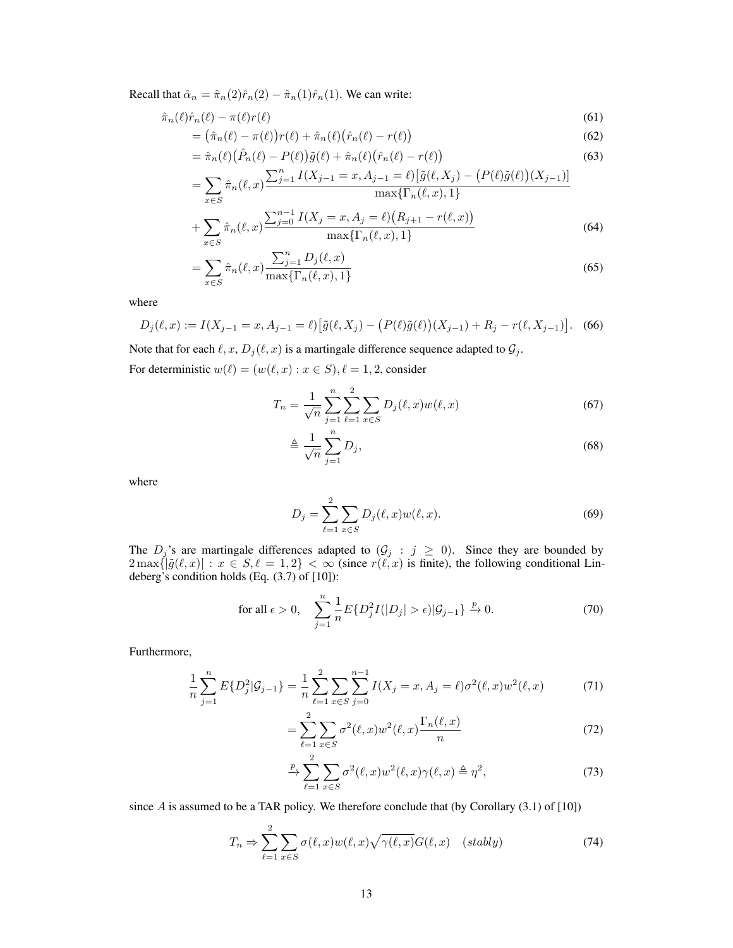Recall that  $\hat{\alpha}_n = \hat{\pi}_n(2)\hat{r}_n(2) - \hat{\pi}_n(1)\hat{r}_n(1)$ . We can write:

$$
\hat{\pi}_n(\ell)\hat{r}_n(\ell) - \pi(\ell)r(\ell) \tag{61}
$$

$$
= \left(\hat{\pi}_n(\ell) - \pi(\ell)\right) r(\ell) + \hat{\pi}_n(\ell) \left(\hat{r}_n(\ell) - r(\ell)\right) \tag{62}
$$

$$
= \hat{\pi}_n(\ell) \left( \hat{P}_n(\ell) - P(\ell) \right) \tilde{g}(\ell) + \hat{\pi}_n(\ell) \left( \hat{r}_n(\ell) - r(\ell) \right) \tag{63}
$$

$$
= \sum_{x \in S} \hat{\pi}_n(\ell, x) \frac{\sum_{j=1}^n I(X_{j-1} = x, A_{j-1} = \ell) [\tilde{g}(\ell, X_j) - (P(\ell)\tilde{g}(\ell))(X_{j-1})]}{\max\{\Gamma_n(\ell, x), 1\}} + \sum_{x \in S} \hat{\pi}_n(\ell, x) \frac{\sum_{j=0}^{n-1} I(X_j = x, A_j = \ell)(R_{j+1} - r(\ell, x))}{\max\{\Gamma_n(\ell, x), 1\}}
$$
(64)

$$
= \sum_{x \in S} \hat{\pi}_n(\ell, x) \frac{\sum_{j=1}^n D_j(\ell, x)}{\max\{\Gamma_n(\ell, x), 1\}}
$$
(65)

where

$$
D_j(\ell, x) := I(X_{j-1} = x, A_{j-1} = \ell) \big[ \tilde{g}(\ell, X_j) - \big( P(\ell) \tilde{g}(\ell) \big) (X_{j-1}) + R_j - r(\ell, X_{j-1}) \big]. \tag{66}
$$

Note that for each  $\ell, x, D_j(\ell, x)$  is a martingale difference sequence adapted to  $\mathcal{G}_j$ . For deterministic  $w(\ell) = (w(\ell, x) : x \in S), \ell = 1, 2$ , consider

<span id="page-12-0"></span>
$$
T_n = \frac{1}{\sqrt{n}} \sum_{j=1}^n \sum_{\ell=1}^2 \sum_{x \in S} D_j(\ell, x) w(\ell, x)
$$
 (67)

$$
\triangleq \frac{1}{\sqrt{n}} \sum_{j=1}^{n} D_j,\tag{68}
$$

where

$$
D_j = \sum_{\ell=1}^2 \sum_{x \in S} D_j(\ell, x) w(\ell, x).
$$
 (69)

The  $D_j$ 's are martingale differences adapted to  $(\mathcal{G}_j : j \geq 0)$ . Since they are bounded by  $2 \max\{|\tilde{g}(\ell, x)| : x \in S, \ell = 1, 2\} < \infty$  (since  $r(\ell, x)$  is finite), the following conditional Lindeberg's condition holds (Eq. (3.7) of [\[10\]](#page-8-24)):

$$
\text{for all } \epsilon > 0, \quad \sum_{j=1}^{n} \frac{1}{n} E\{D_j^2 I(|D_j| > \epsilon) | \mathcal{G}_{j-1}\} \xrightarrow{p} 0. \tag{70}
$$

Furthermore,

$$
\frac{1}{n}\sum_{j=1}^{n} E\{D_j^2 | \mathcal{G}_{j-1}\} = \frac{1}{n}\sum_{\ell=1}^{2} \sum_{x \in S} \sum_{j=0}^{n-1} I(X_j = x, A_j = \ell)\sigma^2(\ell, x) w^2(\ell, x)
$$
(71)

<span id="page-12-1"></span>
$$
=\sum_{\ell=1}^{2}\sum_{x\in S}\sigma^{2}(\ell,x)w^{2}(\ell,x)\frac{\Gamma_{n}(\ell,x)}{n}\tag{72}
$$

$$
\xrightarrow{\mathcal{P}} \sum_{\ell=1}^{2} \sum_{x \in S} \sigma^2(\ell, x) w^2(\ell, x) \gamma(\ell, x) \triangleq \eta^2,\tag{73}
$$

since  $A$  is assumed to be a TAR policy. We therefore conclude that (by Corollary  $(3.1)$  of  $[10]$ )

$$
T_n \Rightarrow \sum_{\ell=1}^2 \sum_{x \in S} \sigma(\ell, x) w(\ell, x) \sqrt{\gamma(\ell, x)} G(\ell, x) \quad (stably)
$$
 (74)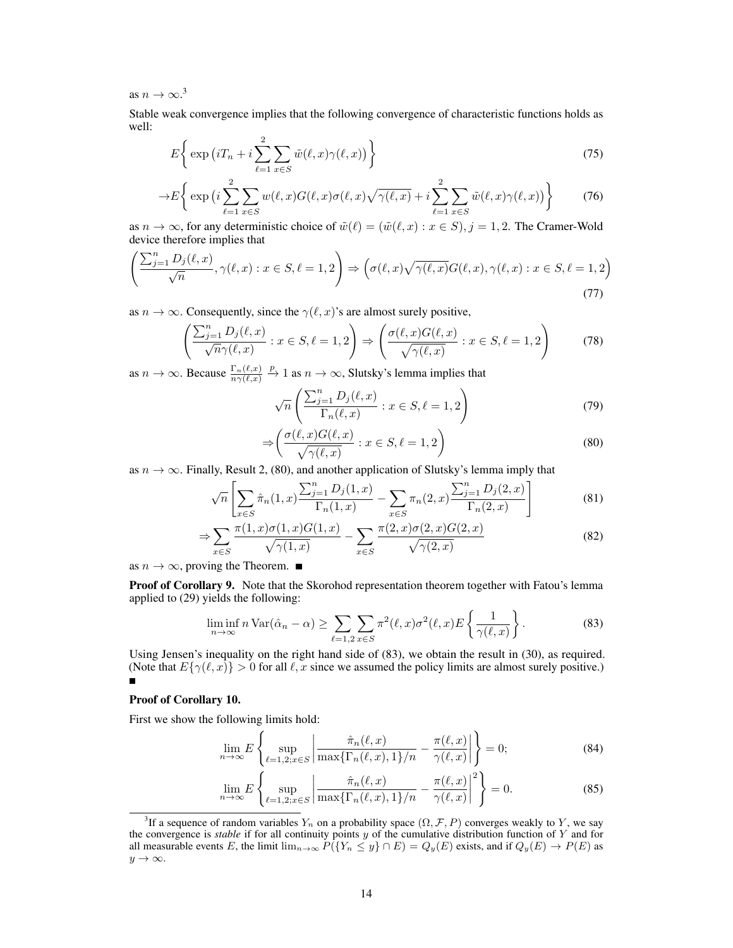as  $n \to \infty$ .<sup>[3](#page-13-0)</sup>

Stable weak convergence implies that the following convergence of characteristic functions holds as well:

$$
E\left\{\exp\left(iT_n+i\sum_{\ell=1}^2\sum_{x\in S}\tilde{w}(\ell,x)\gamma(\ell,x)\right)\right\}
$$
\n(75)

$$
\to E\bigg\{\exp\big(i\sum_{\ell=1}^{2}\sum_{x\in S}w(\ell,x)G(\ell,x)\sigma(\ell,x)\sqrt{\gamma(\ell,x)}+i\sum_{\ell=1}^{2}\sum_{x\in S}\tilde{w}(\ell,x)\gamma(\ell,x)\big)\bigg\}\qquad(76)
$$

as  $n \to \infty$ , for any deterministic choice of  $\tilde{w}(\ell) = (\tilde{w}(\ell, x) : x \in S), j = 1, 2$ . The Cramer-Wold device therefore implies that

$$
\left(\frac{\sum_{j=1}^{n} D_j(\ell, x)}{\sqrt{n}}, \gamma(\ell, x) : x \in S, \ell = 1, 2\right) \Rightarrow \left(\sigma(\ell, x)\sqrt{\gamma(\ell, x)}G(\ell, x), \gamma(\ell, x) : x \in S, \ell = 1, 2\right)
$$
\n(77)

as  $n \to \infty$ . Consequently, since the  $\gamma(\ell, x)$ 's are almost surely positive,

$$
\left(\frac{\sum_{j=1}^{n} D_j(\ell, x)}{\sqrt{n}\gamma(\ell, x)} : x \in S, \ell = 1, 2\right) \Rightarrow \left(\frac{\sigma(\ell, x)G(\ell, x)}{\sqrt{\gamma(\ell, x)}} : x \in S, \ell = 1, 2\right) \tag{78}
$$

as  $n \to \infty$ . Because  $\frac{\Gamma_n(\ell,x)}{n \gamma(\ell,x)}$  $\stackrel{p}{\rightarrow} 1$  as  $n \rightarrow \infty$ , Slutsky's lemma implies that

<span id="page-13-1"></span>
$$
\sqrt{n}\left(\frac{\sum_{j=1}^{n}D_j(\ell,x)}{\Gamma_n(\ell,x)} : x \in S, \ell = 1,2\right)
$$
\n(79)

$$
\Rightarrow \left( \frac{\sigma(\ell, x) G(\ell, x)}{\sqrt{\gamma(\ell, x)}} : x \in S, \ell = 1, 2 \right)
$$
\n(80)

as  $n \to \infty$ . Finally, Result 2, [\(80\)](#page-13-1), and another application of Slutsky's lemma imply that

$$
\sqrt{n}\left[\sum_{x\in S}\hat{\pi}_n(1,x)\frac{\sum_{j=1}^n D_j(1,x)}{\Gamma_n(1,x)} - \sum_{x\in S}\pi_n(2,x)\frac{\sum_{j=1}^n D_j(2,x)}{\Gamma_n(2,x)}\right]
$$
(81)

$$
\Rightarrow \sum_{x \in S} \frac{\pi(1, x)\sigma(1, x)G(1, x)}{\sqrt{\gamma(1, x)}} - \sum_{x \in S} \frac{\pi(2, x)\sigma(2, x)G(2, x)}{\sqrt{\gamma(2, x)}} \tag{82}
$$

as  $n \to \infty$ , proving the Theorem. ■

Proof of Corollary [9.](#page-6-1) Note that the Skorohod representation theorem together with Fatou's lemma applied to [\(29\)](#page-6-6) yields the following:

<span id="page-13-2"></span>
$$
\liminf_{n \to \infty} n \operatorname{Var}(\hat{\alpha}_n - \alpha) \ge \sum_{\ell=1,2} \sum_{x \in S} \pi^2(\ell, x) \sigma^2(\ell, x) E\left\{ \frac{1}{\gamma(\ell, x)} \right\}.
$$
 (83)

Using Jensen's inequality on the right hand side of [\(83\)](#page-13-2), we obtain the result in [\(30\)](#page-6-7), as required. (Note that  $E\{\gamma(\ell, x)\} > 0$  for all  $\ell, x$  since we assumed the policy limits are almost surely positive.) É

#### Proof of Corollary [10.](#page-6-2)

First we show the following limits hold:

<span id="page-13-3"></span>
$$
\lim_{n \to \infty} E\left\{ \sup_{\ell=1,2;x \in S} \left| \frac{\hat{\pi}_n(\ell,x)}{\max\{\Gamma_n(\ell,x),1\}/n} - \frac{\pi(\ell,x)}{\gamma(\ell,x)} \right| \right\} = 0; \tag{84}
$$

<span id="page-13-4"></span>
$$
\lim_{n \to \infty} E\left\{ \sup_{\ell=1,2;x \in S} \left| \frac{\hat{\pi}_n(\ell,x)}{\max\{\Gamma_n(\ell,x),1\}/n} - \frac{\pi(\ell,x)}{\gamma(\ell,x)} \right|^2 \right\} = 0. \tag{85}
$$

<span id="page-13-0"></span><sup>&</sup>lt;sup>3</sup>If a sequence of random variables  $Y_n$  on a probability space  $(\Omega, \mathcal{F}, P)$  converges weakly to Y, we say the convergence is *stable* if for all continuity points y of the cumulative distribution function of Y and for all measurable events E, the limit  $\lim_{n\to\infty} P(\lbrace Y_n \leq y \rbrace \cap E) = Q_y(E)$  exists, and if  $Q_y(E) \to P(E)$  as  $y \rightarrow \infty$ .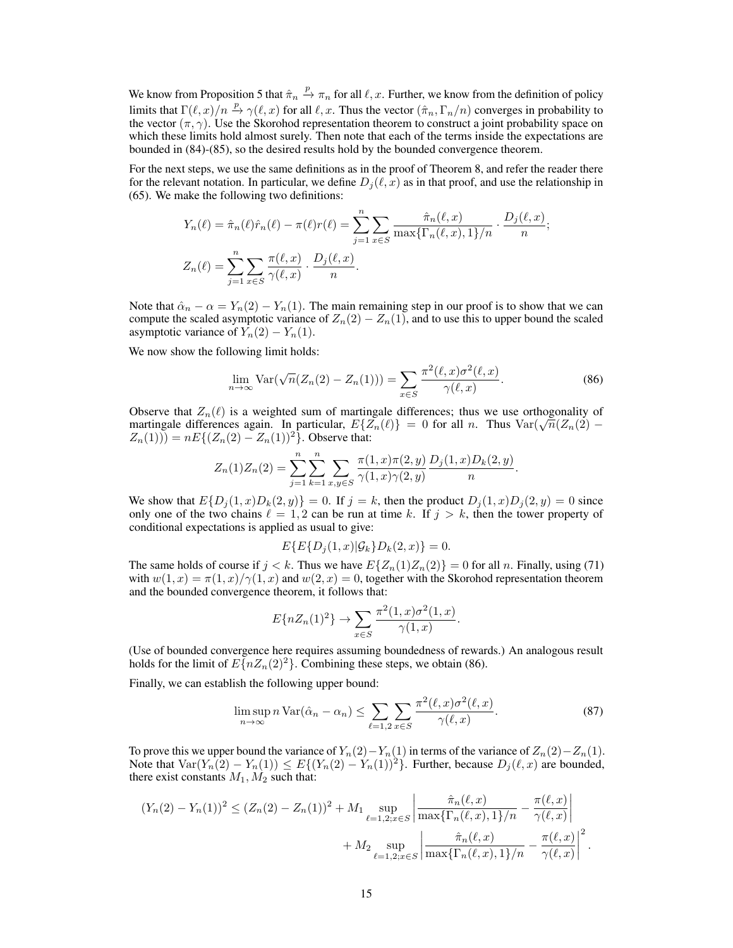We know from Proposition [5](#page-4-6) that  $\hat{\pi}_n \stackrel{p}{\to} \pi_n$  for all  $\ell, x$ . Further, we know from the definition of policy limits that  $\Gamma(\ell, x)/n \stackrel{p}{\to} \gamma(\ell, x)$  for all  $\ell, x$ . Thus the vector  $(\hat{\pi}_n, \Gamma_n/n)$  converges in probability to the vector  $(\pi, \gamma)$ . Use the Skorohod representation theorem to construct a joint probability space on which these limits hold almost surely. Then note that each of the terms inside the expectations are bounded in [\(84\)](#page-13-3)-[\(85\)](#page-13-4), so the desired results hold by the bounded convergence theorem.

For the next steps, we use the same definitions as in the proof of Theorem [8,](#page-5-5) and refer the reader there for the relevant notation. In particular, we define  $D_i(\ell, x)$  as in that proof, and use the relationship in [\(65\)](#page-12-0). We make the following two definitions:

$$
Y_n(\ell) = \hat{\pi}_n(\ell)\hat{r}_n(\ell) - \pi(\ell)r(\ell) = \sum_{j=1}^n \sum_{x \in S} \frac{\hat{\pi}_n(\ell, x)}{\max\{\Gamma_n(\ell, x), 1\}/n} \cdot \frac{D_j(\ell, x)}{n};
$$
  

$$
Z_n(\ell) = \sum_{j=1}^n \sum_{x \in S} \frac{\pi(\ell, x)}{\gamma(\ell, x)} \cdot \frac{D_j(\ell, x)}{n}.
$$

Note that  $\hat{\alpha}_n - \alpha = Y_n(2) - Y_n(1)$ . The main remaining step in our proof is to show that we can compute the scaled asymptotic variance of  $Z_n(2) - Z_n(1)$ , and to use this to upper bound the scaled asymptotic variance of  $Y_n(2) - Y_n(1)$ .

We now show the following limit holds:

<span id="page-14-0"></span>
$$
\lim_{n \to \infty} \text{Var}(\sqrt{n}(Z_n(2) - Z_n(1))) = \sum_{x \in S} \frac{\pi^2(\ell, x)\sigma^2(\ell, x)}{\gamma(\ell, x)}.
$$
 (86)

.

Observe that  $Z_n(\ell)$  is a weighted sum of martingale differences; thus we use orthogonality of Observe that  $Z_n(\ell)$  is a weighted sum of martingale differences; thus we use orthogonality of martingale differences again. In particular,  $E\{Z_n(\ell)\}=0$  for all n. Thus  $Var(\sqrt{n}(Z_n(2))$  $Z_n(1)$ ) =  $nE\{(Z_n(2) - Z_n(1))^2\}$ . Observe that:

$$
Z_n(1)Z_n(2) = \sum_{j=1}^n \sum_{k=1}^n \sum_{x,y \in S} \frac{\pi(1,x)\pi(2,y)}{\gamma(1,x)\gamma(2,y)} \frac{D_j(1,x)D_k(2,y)}{n}
$$

We show that  $E\{D_i(1, x)D_k(2, y)\}=0$ . If  $j=k$ , then the product  $D_i(1, x)D_i(2, y)=0$  since only one of the two chains  $\ell = 1, 2$  can be run at time k. If  $j > k$ , then the tower property of conditional expectations is applied as usual to give:

$$
E\{E\{D_j(1,x)|\mathcal{G}_k\}D_k(2,x)\}=0.
$$

The same holds of course if  $j < k$ . Thus we have  $E\{Z_n(1)Z_n(2)\} = 0$  for all n. Finally, using [\(71\)](#page-12-1) with  $w(1, x) = \pi(1, x)/\gamma(1, x)$  and  $w(2, x) = 0$ , together with the Skorohod representation theorem and the bounded convergence theorem, it follows that:

<span id="page-14-1"></span>
$$
E{nZ_n(1)^2} \to \sum_{x \in S} \frac{\pi^2(1, x)\sigma^2(1, x)}{\gamma(1, x)}.
$$

(Use of bounded convergence here requires assuming boundedness of rewards.) An analogous result holds for the limit of  $E{nZ_n(2)^2}$ . Combining these steps, we obtain [\(86\)](#page-14-0).

Finally, we can establish the following upper bound:

$$
\limsup_{n \to \infty} n \operatorname{Var}(\hat{\alpha}_n - \alpha_n) \le \sum_{\ell=1,2} \sum_{x \in S} \frac{\pi^2(\ell, x) \sigma^2(\ell, x)}{\gamma(\ell, x)}.
$$
 (87)

To prove this we upper bound the variance of  $Y_n(2)-Y_n(1)$  in terms of the variance of  $Z_n(2)-Z_n(1)$ . Note that  $\text{Var}(Y_n(2) - Y_n(1)) \leq E\{(Y_n(2) - Y_n(1))^2\}$ . Further, because  $D_i(\ell, x)$  are bounded, there exist constants  $M_1, M_2$  such that:

$$
(Y_n(2) - Y_n(1))^2 \le (Z_n(2) - Z_n(1))^2 + M_1 \sup_{\ell=1,2;x\in S} \left| \frac{\hat{\pi}_n(\ell,x)}{\max\{\Gamma_n(\ell,x),1\}/n} - \frac{\pi(\ell,x)}{\gamma(\ell,x)} \right| + M_2 \sup_{\ell=1,2;x\in S} \left| \frac{\hat{\pi}_n(\ell,x)}{\max\{\Gamma_n(\ell,x),1\}/n} - \frac{\pi(\ell,x)}{\gamma(\ell,x)} \right|^2.
$$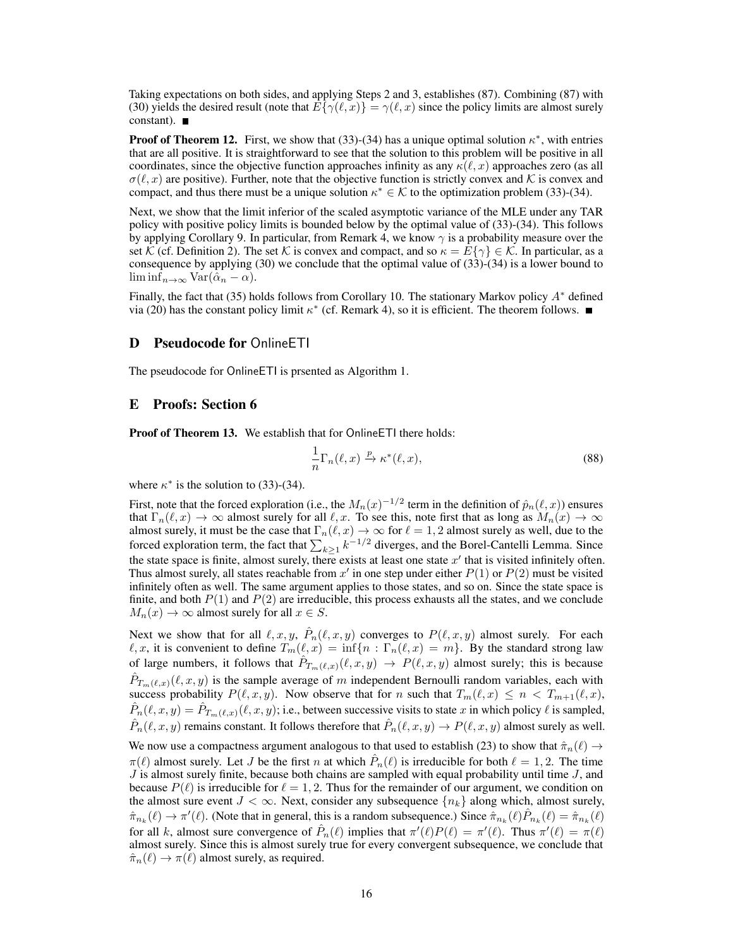Taking expectations on both sides, and applying Steps 2 and 3, establishes [\(87\)](#page-14-1). Combining [\(87\)](#page-14-1) with [\(30\)](#page-6-7) yields the desired result (note that  $E\{\gamma(\ell, x)\} = \gamma(\ell, x)$  since the policy limits are almost surely constant).

**Proof of Theorem [12.](#page-6-4)** First, we show that [\(33\)](#page-6-3)-[\(34\)](#page-6-5) has a unique optimal solution  $\kappa^*$ , with entries that are all positive. It is straightforward to see that the solution to this problem will be positive in all coordinates, since the objective function approaches infinity as any  $\kappa(\ell, x)$  approaches zero (as all  $\sigma(\ell, x)$  are positive). Further, note that the objective function is strictly convex and K is convex and compact, and thus there must be a unique solution  $\kappa^* \in \mathcal{K}$  to the optimization problem [\(33\)](#page-6-3)-[\(34\)](#page-6-5).

Next, we show that the limit inferior of the scaled asymptotic variance of the MLE under any TAR policy with positive policy limits is bounded below by the optimal value of [\(33\)](#page-6-3)-[\(34\)](#page-6-5). This follows by applying Corollary [9.](#page-6-1) In particular, from Remark [4,](#page-4-9) we know  $\gamma$  is a probability measure over the set K (cf. Definition [2\)](#page-4-10). The set K is convex and compact, and so  $\kappa = E\{\gamma\} \in \mathcal{K}$ . In particular, as a consequence by applying  $(30)$  we conclude that the optimal value of  $(33)-(34)$  $(33)-(34)$  $(33)-(34)$  is a lower bound to  $\liminf_{n\to\infty} \text{Var}(\hat{\alpha}_n - \alpha).$ 

Finally, the fact that [\(35\)](#page-7-4) holds follows from Corollary [10.](#page-6-2) The stationary Markov policy A<sup>∗</sup> defined via [\(20\)](#page-4-3) has the constant policy limit  $\kappa^*$  (cf. Remark [4\)](#page-4-9), so it is efficient. The theorem follows.

#### <span id="page-15-0"></span>D Pseudocode for OnlineETI

The pseudocode for OnlineETI is prsented as Algorithm [1.](#page-16-0)

## <span id="page-15-1"></span>E Proofs: Section [6](#page-7-0)

Proof of Theorem [13.](#page-7-3) We establish that for OnlineETI there holds:

$$
\frac{1}{n}\Gamma_n(\ell,x) \xrightarrow{p} \kappa^*(\ell,x),\tag{88}
$$

where  $\kappa^*$  is the solution to [\(33\)](#page-6-3)-[\(34\)](#page-6-5).

First, note that the forced exploration (i.e., the  $M_n(x)^{-1/2}$  term in the definition of  $\hat{p}_n(\ell, x)$ ) ensures that  $\Gamma_n(\ell, x) \to \infty$  almost surely for all  $\ell, x$ . To see this, note first that as long as  $M_n(x) \to \infty$ almost surely, it must be the case that  $\Gamma_n(\ell, x) \to \infty$  for  $\ell = 1, 2$  almost surely as well, due to the forced exploration term, the fact that  $\sum_{k\geq 1} k^{-1/2}$  diverges, and the Borel-Cantelli Lemma. Since the state space is finite, almost surely, there exists at least one state  $x'$  that is visited infinitely often. Thus almost surely, all states reachable from  $x'$  in one step under either  $P(1)$  or  $P(2)$  must be visited infinitely often as well. The same argument applies to those states, and so on. Since the state space is finite, and both  $P(1)$  and  $P(2)$  are irreducible, this process exhausts all the states, and we conclude  $M_n(x) \to \infty$  almost surely for all  $x \in S$ .

Next we show that for all  $\ell, x, y$ ,  $\hat{P}_n(\ell, x, y)$  converges to  $P(\ell, x, y)$  almost surely. For each  $\ell, x$ , it is convenient to define  $T_m(\ell, x) = \inf\{n : \Gamma_n(\ell, x) = m\}$ . By the standard strong law of large numbers, it follows that  $\hat{P}_{T_m(\ell,x)}(\ell,x,y) \to P(\ell,x,y)$  almost surely; this is because  $\hat{P}_{T_m(\ell,x)}(\ell,x,y)$  is the sample average of m independent Bernoulli random variables, each with success probability  $P(\ell, x, y)$ . Now observe that for n such that  $T_m(\ell, x) \le n < T_{m+1}(\ell, x)$ ,  $\hat{P}_n(\ell, x, y) = \hat{P}_{T_m(\ell, x)}(\ell, x, y)$ ; i.e., between successive visits to state x in which policy  $\ell$  is sampled,  $\hat{P}_n(\ell, x, y)$  remains constant. It follows therefore that  $\hat{P}_n(\ell, x, y) \to P(\ell, x, y)$  almost surely as well. We now use a compactness argument analogous to that used to establish [\(23\)](#page-4-8) to show that  $\hat{\pi}_n(\ell) \rightarrow$  $\pi(\ell)$  almost surely. Let J be the first n at which  $\hat{P}_n(\ell)$  is irreducible for both  $\ell = 1, 2$ . The time  $J$  is almost surely finite, because both chains are sampled with equal probability until time  $J$ , and because  $P(\ell)$  is irreducible for  $\ell = 1, 2$ . Thus for the remainder of our argument, we condition on the almost sure event  $J < \infty$ . Next, consider any subsequence  $\{n_k\}$  along which, almost surely,  $\hat{\pi}_{n_k}(\ell) \to \pi'(\ell)$ . (Note that in general, this is a random subsequence.) Since  $\hat{\pi}_{n_k}(\ell) \hat{P}_{n_k}(\ell) = \hat{\pi}_{n_k}(\ell)$ for all k, almost sure convergence of  $\hat{P}_n(\ell)$  implies that  $\pi'(\ell)P(\ell) = \pi'(\ell)$ . Thus  $\pi'(\ell) = \pi(\ell)$ almost surely. Since this is almost surely true for every convergent subsequence, we conclude that  $\hat{\pi}_n(\ell) \to \pi(\ell)$  almost surely, as required.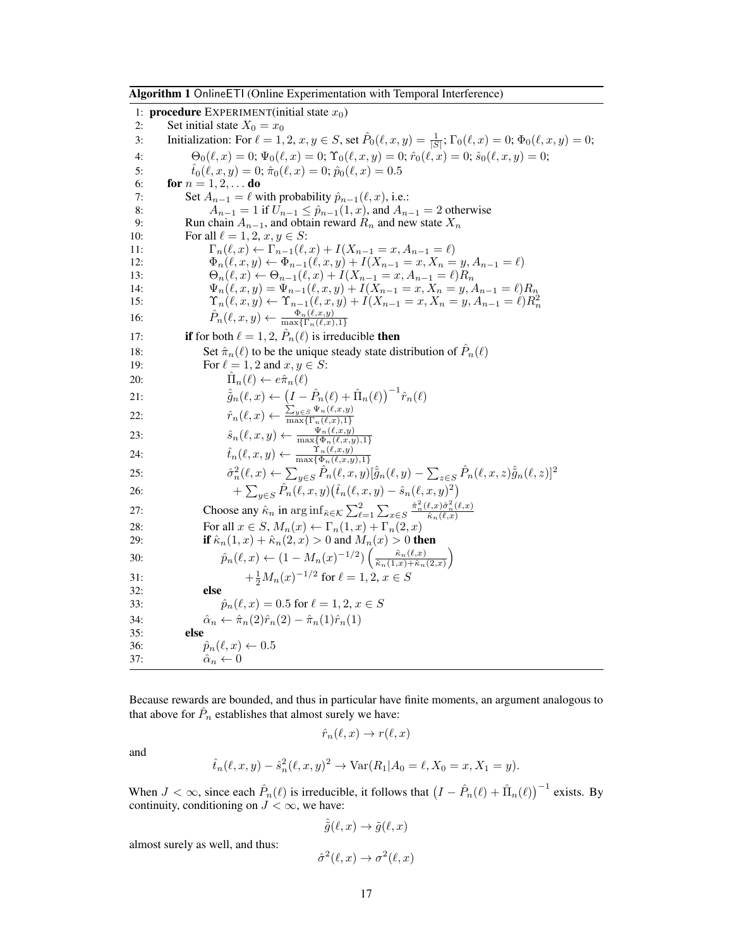<span id="page-16-0"></span>Algorithm 1 OnlineETI (Online Experimentation with Temporal Interference)

1: **procedure** EXPERIMENT(initial state  $x_0$ ) 2: Set initial state  $X_0 = x_0$ 3: Initialization: For  $\ell = 1, 2, x, y \in S$ , set  $\hat{P}_0(\ell, x, y) = \frac{1}{|S|}$ ;  $\Gamma_0(\ell, x) = 0$ ;  $\Phi_0(\ell, x, y) = 0$ ; 4:  $\Theta_0(\ell, x) = 0; \Psi_0(\ell, x) = 0; \Upsilon_0(\ell, x, y) = 0; \hat{r}_0(\ell, x) = 0; \hat{s}_0(\ell, x, y) = 0;$ 5:  $\hat{t}_0(\ell, x, y) = 0; \hat{\pi}_0(\ell, x) = 0; \hat{p}_0(\ell, x) = 0.5$ <br>6: **for**  $n = 1, 2, ...$  **do** for  $n = 1, 2, ...$  do 7: Set  $A_{n-1} = \ell$  with probability  $\hat{p}_{n-1}(\ell, x)$ , i.e.: 8:  $A_{n-1} = 1$  if  $U_{n-1} \le \hat{p}_{n-1}(1, x)$ , and  $A_{n-1} = 2$  otherwise<br>9: Run chain  $A_{n-1}$ , and obtain reward  $R_n$  and new state  $X_n$ Run chain  $A_{n-1}$ , and obtain reward  $R_n$  and new state  $X_n$ 10: For all  $\ell = 1, 2, x, y \in S$ : 11:  $\Gamma_n(\ell, x) \leftarrow \Gamma_{n-1}(\ell, x) + I(X_{n-1} = x, A_{n-1} = \ell)$ 12:  $\Phi_n(\ell, x, y) \leftarrow \Phi_{n-1}(\ell, x, y) + I(X_{n-1} = x, X_n = y, A_{n-1} = \ell)$ <br>
13:  $\Theta_n(\ell, x) \leftarrow \Theta_{n-1}(\ell, x) + I(X_{n-1} = x, A_{n-1} = \ell)R_n$ 13:  $\Theta_n(\ell, x) \leftarrow \Theta_{n-1}(\ell, x) + I(X_{n-1} = x, A_{n-1} = \ell)R_n$ <br>
14:  $\Psi_n(\ell, x, y) = \Psi_{n-1}(\ell, x, y) + I(X_{n-1} = x, X_n = y, A_n)$  $\Psi_n(\ell, x, y) = \Psi_{n-1}(\ell, x, y) + I(X_{n-1} = x, X_n = y, A_{n-1} = \ell)R_n$ 15:  $\Upsilon_n(\ell, x, y) \leftarrow \Upsilon_{n-1}(\ell, x, y) + I(X_{n-1} = x, X_n = y, A_{n-1} = \ell) R_n^2$ <br>
16:  $\hat{P}_n(\ell, x, y) \leftarrow \frac{\Phi_n(\ell, x, y)}{\max\{\Gamma_n(\ell, x), 1\}}$ 17: **if** for both  $\ell = 1, 2, \hat{P}_n(\ell)$  is irreducible **then** 18: Set  $\hat{\pi}_n(\ell)$  to be the unique steady state distribution of  $\hat{P}_n(\ell)$ 19: For  $\ell = 1, 2$  and  $x, y \in S$ : 20:  $\hat{\Pi}$  $\Pi_n(\ell) \leftarrow e\hat{\pi}_n(\ell)$ 21:  $\hat{g}_n(\ell, x) \leftarrow (I - \hat{P}_n(\ell) + \hat{\Pi}_n(\ell))^{-1} \hat{r}_n(\ell)$ 22:  $\hat{r}_n(\ell, x) \leftarrow \frac{\sum_{y \in S} \Psi_n(\ell, x, y)}{\max\{\Gamma_n(\ell, x), 1\}}$  $\max\{\Gamma_n(\ell,x),1\}$ 23:  $\hat{s}_n(\ell, x, y) \leftarrow \frac{\Psi_n(\ell, x, y)}{\max{\Phi_n(\ell, x, y), 1}}$ 24:  $\hat{t}_n(\ell, x, y) \leftarrow \frac{\Upsilon_n(\ell, x, y)}{\max{\Phi_n(\ell, x, y), 1}}$  $25:$  $\hat{P}_n^2(\ell, x) \leftarrow \sum_{y \in S} \hat{P}_n(\ell, x, y) [\hat{g}_n(\ell, y) - \sum_{z \in S} \hat{P}_n(\ell, x, z) \hat{g}_n(\ell, z)]^2$ 26: +  $\sum_{y \in S} \hat{P}_n(\ell, x, y) (\hat{t}_n(\ell, x, y) - \hat{s}_n(\ell, x, y)^2)$ 27: Choose any  $\hat{\kappa}_n$  in  $\arg\inf_{\hat{\kappa}\in\mathcal{K}} \sum_{\ell=1}^2 \sum_{x\in S} \frac{\hat{\pi}_n^2(\ell,x)\hat{\sigma}_n^2(\ell,x)}{\hat{\kappa}_n(\ell,x)}$ 28: For all  $x \in S$ ,  $M_n(x) \leftarrow \Gamma_n(1, x) + \Gamma_n(2, x)$ 29: **if**  $\hat{\kappa}_n(1, x) + \hat{\kappa}_n(2, x) > 0$  and  $M_n(x) > 0$  **then** 30:  $\hat{p}_n(\ell, x) \leftarrow (1 - M_n(x)^{-1/2}) \left( \frac{\hat{\kappa}_n(\ell, x)}{\hat{\kappa}_n(1, x) + \hat{\kappa}_n} \right)$  $\frac{\hat{\kappa}_n(\ell,x)}{\hat{\kappa}_n(1,x)+\hat{\kappa}_n(2,x)}$ 31:  $+\frac{1}{2}M_n(x)^{-1/2}$  for  $\ell = 1, 2, x \in S$ 32: else 33:  $\hat{p}_n(\ell, x) = 0.5$  for  $\ell = 1, 2, x \in S$ 34:  $\hat{\alpha}_n \leftarrow \hat{\pi}_n(2)\hat{r}_n(2) - \hat{\pi}_n(1)\hat{r}_n(1)$ <br>35: **else** else 36:  $\hat{p}_n(\ell, x) \leftarrow 0.5$ 37:  $\hat{\alpha}_n \leftarrow 0$ 

Because rewards are bounded, and thus in particular have finite moments, an argument analogous to that above for  $\hat{P}_n$  establishes that almost surely we have:

$$
\hat{r}_n(\ell, x) \to r(\ell, x)
$$

and

$$
\hat{t}_n(\ell, x, y) - \hat{s}_n^2(\ell, x, y)^2 \to \text{Var}(R_1 | A_0 = \ell, X_0 = x, X_1 = y).
$$

When  $J < \infty$ , since each  $\hat{P}_n(\ell)$  is irreducible, it follows that  $(I - \hat{P}_n(\ell) + \hat{\Pi}_n(\ell))^{-1}$  exists. By continuity, conditioning on  $J < \infty$ , we have:

$$
\hat{\tilde{g}}(\ell, x) \to \tilde{g}(\ell, x)
$$

almost surely as well, and thus:

$$
\hat{\sigma}^2(\ell, x) \to \sigma^2(\ell, x)
$$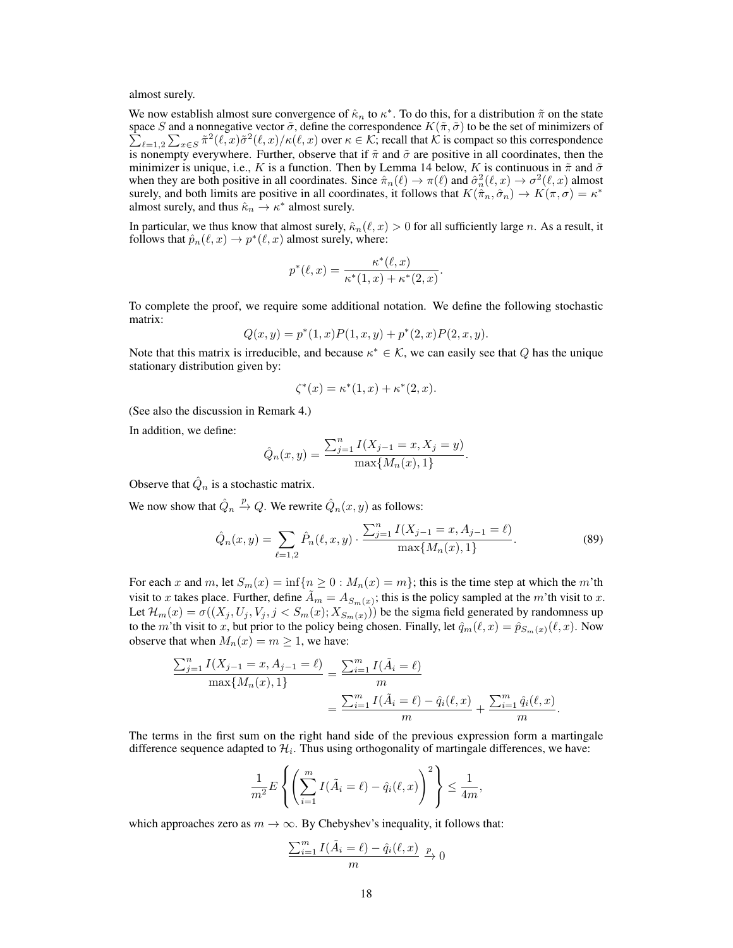almost surely.

We now establish almost sure convergence of  $\hat{\kappa}_n$  to  $\kappa^*$ . To do this, for a distribution  $\tilde{\pi}$  on the state space S and a nonnegative vector  $\tilde{\sigma}$ , define the correspondence  $K(\tilde{\pi}, \tilde{\sigma})$  to be the set of minimizers of  $\sum_{\ell=1,2}\sum_{x\in S}\tilde{\pi}^2(\ell,x)\tilde{\sigma}^2(\ell,x)/\kappa(\ell,x)$  over  $\kappa\in\mathcal{K}$ ; recall that  $\mathcal{K}$  is compact so this correspondence is nonempty everywhere. Further, observe that if  $\tilde{\pi}$  and  $\tilde{\sigma}$  are positive in all coordinates, then the minimizer is unique, i.e., K is a function. Then by Lemma [14](#page-19-0) below, K is continuous in  $\tilde{\pi}$  and  $\tilde{\sigma}$ when they are both positive in all coordinates. Since  $\hat{\pi}_n(\ell) \to \pi(\ell)$  and  $\hat{\sigma}_n^2(\ell, x) \to \sigma^2(\ell, x)$  almost surely, and both limits are positive in all coordinates, it follows that  $K(\hat{\pi}_n, \hat{\sigma}_n) \to K(\pi, \sigma) = \kappa^*$ almost surely, and thus  $\hat{\kappa}_n \to \kappa^*$  almost surely.

In particular, we thus know that almost surely,  $\hat{\kappa}_n(\ell, x) > 0$  for all sufficiently large n. As a result, it follows that  $\hat{p}_n(\ell, x) \to p^*(\ell, x)$  almost surely, where:

$$
p^*(\ell, x) = \frac{\kappa^*(\ell, x)}{\kappa^*(1, x) + \kappa^*(2, x)}
$$

.

To complete the proof, we require some additional notation. We define the following stochastic matrix:

$$
Q(x, y) = p^{*}(1, x)P(1, x, y) + p^{*}(2, x)P(2, x, y).
$$

Note that this matrix is irreducible, and because  $\kappa^* \in \mathcal{K}$ , we can easily see that Q has the unique stationary distribution given by:

<span id="page-17-0"></span>
$$
\zeta^*(x) = \kappa^*(1, x) + \kappa^*(2, x).
$$

(See also the discussion in Remark [4.](#page-4-9))

In addition, we define:

$$
\hat{Q}_n(x,y) = \frac{\sum_{j=1}^n I(X_{j-1} = x, X_j = y)}{\max\{M_n(x), 1\}}.
$$

Observe that  $\hat{Q}_n$  is a stochastic matrix.

We now show that  $\hat{Q}_n \stackrel{p}{\rightarrow} Q$ . We rewrite  $\hat{Q}_n(x, y)$  as follows:

$$
\hat{Q}_n(x,y) = \sum_{\ell=1,2} \hat{P}_n(\ell,x,y) \cdot \frac{\sum_{j=1}^n I(X_{j-1} = x, A_{j-1} = \ell)}{\max\{M_n(x), 1\}}.
$$
\n(89)

For each x and m, let  $S_m(x) = \inf\{n \geq 0 : M_n(x) = m\}$ ; this is the time step at which the m'th visit to x takes place. Further, define  $\tilde{A}_m = A_{S_m(x)}$ ; this is the policy sampled at the m'th visit to x. Let  $\mathcal{H}_m(x) = \sigma((X_j, U_j, V_j, j < S_m(x); X_{S_m(x)}))$  be the sigma field generated by randomness up to the m'th visit to x, but prior to the policy being chosen. Finally, let  $\hat{q}_m(\ell, x) = \hat{p}_{S_m}(x)(\ell, x)$ . Now observe that when  $M_n(x) = m \ge 1$ , we have:

$$
\frac{\sum_{j=1}^{n} I(X_{j-1} = x, A_{j-1} = \ell)}{\max\{M_n(x), 1\}} = \frac{\sum_{i=1}^{m} I(\tilde{A}_i = \ell)}{m}
$$

$$
= \frac{\sum_{i=1}^{m} I(\tilde{A}_i = \ell) - \hat{q}_i(\ell, x)}{m} + \frac{\sum_{i=1}^{m} \hat{q}_i(\ell, x)}{m}.
$$

The terms in the first sum on the right hand side of the previous expression form a martingale difference sequence adapted to  $\mathcal{H}_i$ . Thus using orthogonality of martingale differences, we have:

$$
\frac{1}{m^2}E\left\{ \left(\sum_{i=1}^m I(\tilde{A}_i=\ell)-\hat{q}_i(\ell,x)\right)^2 \right\} \leq \frac{1}{4m},
$$

which approaches zero as  $m \to \infty$ . By Chebyshev's inequality, it follows that:

$$
\frac{\sum_{i=1}^{m} I(\tilde{A}_i = \ell) - \hat{q}_i(\ell, x)}{m} \xrightarrow{p} 0
$$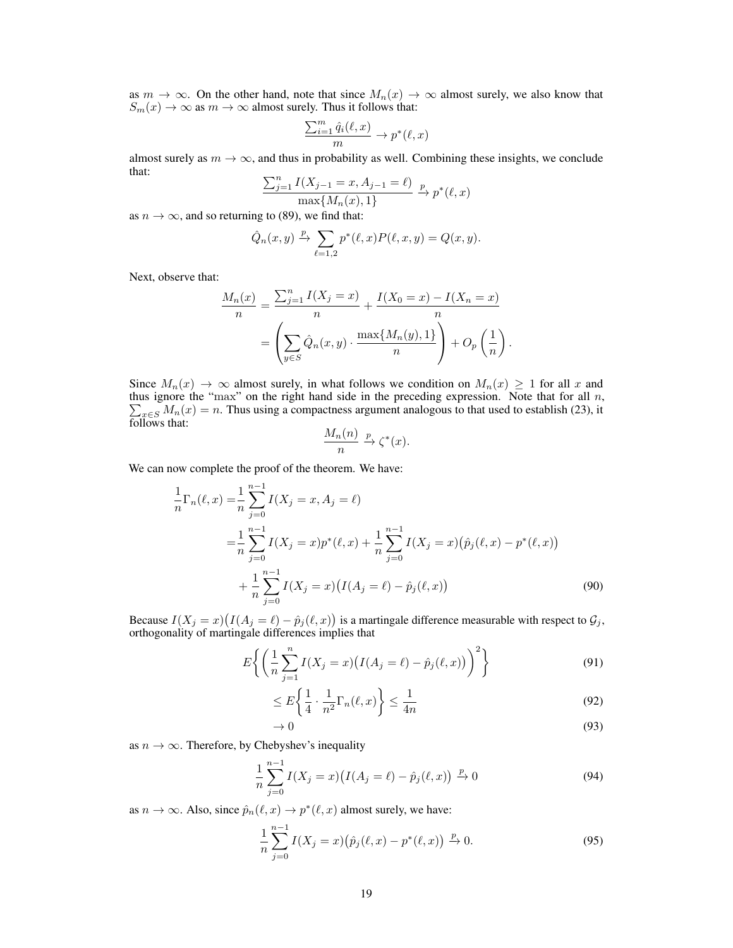as  $m \to \infty$ . On the other hand, note that since  $M_n(x) \to \infty$  almost surely, we also know that  $S_m(x) \to \infty$  as  $m \to \infty$  almost surely. Thus it follows that:

$$
\frac{\sum_{i=1}^{m} \hat{q}_i(\ell, x)}{m} \to p^*(\ell, x)
$$

almost surely as  $m \to \infty$ , and thus in probability as well. Combining these insights, we conclude that:

$$
\frac{\sum_{j=1}^{n} I(X_{j-1} = x, A_{j-1} = \ell)}{\max\{M_n(x), 1\}} \xrightarrow{p} p^*(\ell, x)
$$

as  $n \to \infty$ , and so returning to [\(89\)](#page-17-0), we find that:

$$
\hat{Q}_n(x,y) \xrightarrow{p} \sum_{\ell=1,2} p^*(\ell,x) P(\ell,x,y) = Q(x,y).
$$

Next, observe that:

$$
\frac{M_n(x)}{n} = \frac{\sum_{j=1}^n I(X_j = x)}{n} + \frac{I(X_0 = x) - I(X_n = x)}{n}
$$

$$
= \left(\sum_{y \in S} \hat{Q}_n(x, y) \cdot \frac{\max\{M_n(y), 1\}}{n}\right) + O_p\left(\frac{1}{n}\right).
$$

Since  $M_n(x) \to \infty$  almost surely, in what follows we condition on  $M_n(x) \geq 1$  for all x and thus ignore the " P  $max$ " on the right hand side in the preceding expression. Note that for all  $n$ ,  $x \in S M_n(x) = n$ . Thus using a compactness argument analogous to that used to establish [\(23\)](#page-4-8), it follows that:

<span id="page-18-0"></span>
$$
\frac{M_n(n)}{n} \xrightarrow{p} \zeta^*(x).
$$

We can now complete the proof of the theorem. We have:

$$
\frac{1}{n}\Gamma_n(\ell,x) = \frac{1}{n}\sum_{j=0}^{n-1} I(X_j = x, A_j = \ell)
$$
\n
$$
= \frac{1}{n}\sum_{j=0}^{n-1} I(X_j = x)p^*(\ell, x) + \frac{1}{n}\sum_{j=0}^{n-1} I(X_j = x)(\hat{p}_j(\ell, x) - p^*(\ell, x))
$$
\n
$$
+ \frac{1}{n}\sum_{j=0}^{n-1} I(X_j = x)\big(I(A_j = \ell) - \hat{p}_j(\ell, x)\big) \tag{90}
$$

Because  $I(X_j = x) (I(A_j = \ell) - \hat{p}_j(\ell, x))$  is a martingale difference measurable with respect to  $\mathcal{G}_j$ , orthogonality of martingale differences implies that

$$
E\left\{ \left( \frac{1}{n} \sum_{j=1}^{n} I(X_j = x) \big( I(A_j = \ell) - \hat{p}_j(\ell, x) \big) \right)^2 \right\} \tag{91}
$$

$$
\leq E\left\{\frac{1}{4}\cdot\frac{1}{n^2}\Gamma_n(\ell,x)\right\} \leq \frac{1}{4n} \tag{92}
$$

$$
\to 0 \tag{93}
$$

as  $n \to \infty$ . Therefore, by Chebyshev's inequality

$$
\frac{1}{n}\sum_{j=0}^{n-1} I(X_j = x) \big( I(A_j = \ell) - \hat{p}_j(\ell, x) \big) \xrightarrow{p} 0 \tag{94}
$$

as  $n \to \infty$ . Also, since  $\hat{p}_n(\ell, x) \to p^*(\ell, x)$  almost surely, we have:

$$
\frac{1}{n}\sum_{j=0}^{n-1} I(X_j = x) \big(\hat{p}_j(\ell, x) - p^*(\ell, x)\big) \xrightarrow{p} 0. \tag{95}
$$